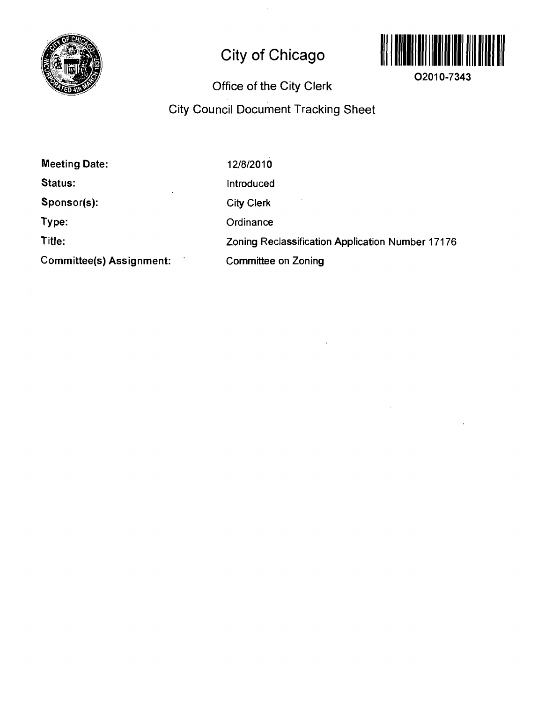

# **City of Chicago**



**02010-7343** 

# **Office of the City Clerk**

# **City Council Document Tracking Sheet**

| <b>Meeting Date:</b>     | 12/8/2010                                        |
|--------------------------|--------------------------------------------------|
| Status:<br>$\cdot$       | Introduced                                       |
| Sponsor(s):              | <b>City Clerk</b>                                |
| Type:                    | Ordinance                                        |
| Title:                   | Zoning Reclassification Application Number 17176 |
| Committee(s) Assignment: | Committee on Zoning                              |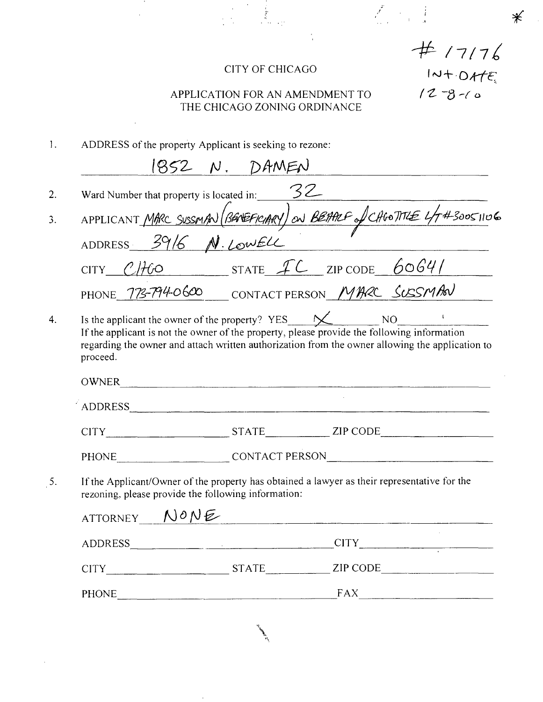#### CITY OF CHICAGO

 $#$  /7/76<br> $#$  /2+0HE<br>/2-8-10

 $\divideontimes$ 

 $\begin{array}{c} \mathcal{E}_{\text{max}} = \frac{1}{2} \end{array}$ 

### APPLICATION FOR AN AMENDMENT TO THE CHICAGO ZONING ORDINANCE

| Ι. |  |  |  |  | ADDRESS of the property Applicant is seeking to rezone: |
|----|--|--|--|--|---------------------------------------------------------|
|----|--|--|--|--|---------------------------------------------------------|

|          |                                                     | <u>1852 N. DAMEN</u>                                                                                                                                                                                                           |                                                                                                 |
|----------|-----------------------------------------------------|--------------------------------------------------------------------------------------------------------------------------------------------------------------------------------------------------------------------------------|-------------------------------------------------------------------------------------------------|
|          |                                                     | Ward Number that property is located in: $\mathcal{Z}$                                                                                                                                                                         |                                                                                                 |
|          |                                                     |                                                                                                                                                                                                                                | APPLICANT MARC SUSSMAN (BENEFICIARY) ON BEARLE of CAGOTITLE 4/7#30051106                        |
|          | ADDRESS 3916 N. LOWELL                              |                                                                                                                                                                                                                                |                                                                                                 |
|          |                                                     | $CITY$ $C/HO$ STATE $IC$ ZIP CODE 6064/                                                                                                                                                                                        |                                                                                                 |
|          |                                                     | PHONE 773-794-0600 CONTACT PERSON MARC SUSSMAN                                                                                                                                                                                 |                                                                                                 |
| proceed. |                                                     | Is the applicant the owner of the property? $YES$ $\cancel{\times}$ NO NO<br>If the applicant is not the owner of the property, please provide the following information                                                       | regarding the owner and attach written authorization from the owner allowing the application to |
|          |                                                     | OWNER                                                                                                                                                                                                                          |                                                                                                 |
|          |                                                     | ADDRESS AND AREA AND AREA AND AREA AND AREA AND AREA AND AREA AND AREA AND AREA AND AREA AND AREA AND AREA AND AREA AND AREA AND AREA AND AREA AND AREA AND AREA AND AREA AND AREA AND AREA AND AREA AND AREA AND AREA AND ARE | CITY STATE ZIP CODE                                                                             |
|          |                                                     |                                                                                                                                                                                                                                | PHONE CONTACT PERSON                                                                            |
|          | rezoning, please provide the following information: |                                                                                                                                                                                                                                | If the Applicant/Owner of the property has obtained a lawyer as their representative for the    |
|          | ATTORNEY NONE                                       |                                                                                                                                                                                                                                |                                                                                                 |
|          |                                                     |                                                                                                                                                                                                                                | ADDRESS CONTROLLER CITY                                                                         |
|          |                                                     |                                                                                                                                                                                                                                |                                                                                                 |
|          |                                                     |                                                                                                                                                                                                                                | CITY STATE ZIP CODE                                                                             |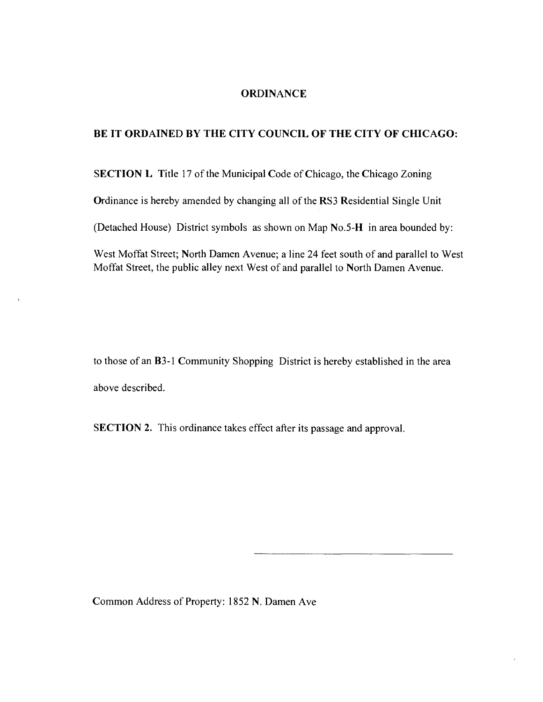#### **ORDINANCE**

#### **BE IT ORDAINED BY THE CITY COUNCIL OF THE CITY OF CHICAGO:**

SECTION L Title 17 of the Municipal Code of Chicago, the Chicago Zoning

Ordinance is hereby amended by changing all of the RS3 Residential Single Unit

(Detached House) District symbols as shown on Map No.5-H in area bounded by:

West Moffat Street; North Damen Avenue; a line 24 feet south of and parallel to West Moffat Street, the public alley next West of and parallel lo North Damen Avenue.

to those of an B3-1 Community Shopping District is hereby established in the area above described.

SECTION 2. This ordinance takes effect after its passage and approval.

Common Address of Property: 1852 N. Damen Ave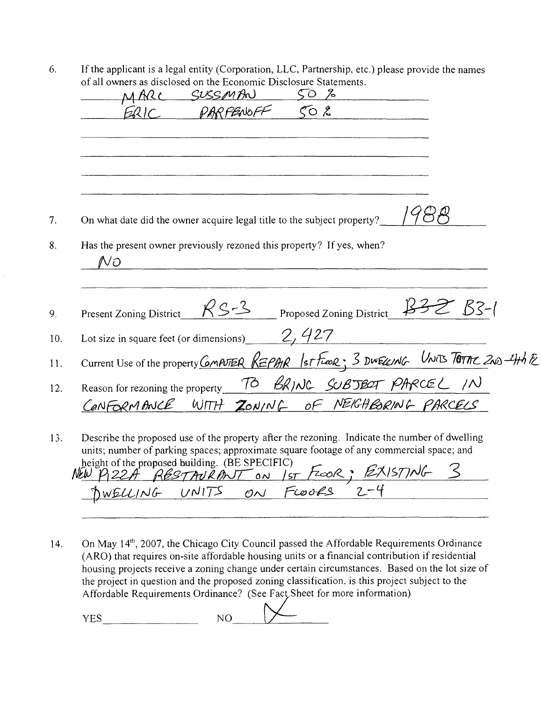6. If the applicant is a legal entity (Corporation, LLC, Partnership, etc.) please provide the names of all owners as disclosed on the Economic Disclosure Statements.

|    | MARC                                                                                   | SUSSMAN<br>PARFENOFF |  | 50 <sub>o</sub><br>$\zeta_0$ $\zeta$ |  |  |
|----|----------------------------------------------------------------------------------------|----------------------|--|--------------------------------------|--|--|
|    |                                                                                        |                      |  |                                      |  |  |
|    |                                                                                        |                      |  |                                      |  |  |
|    |                                                                                        |                      |  |                                      |  |  |
|    | On what date did the owner acquire legal title to the subject property?                |                      |  |                                      |  |  |
|    | Has the present owner previously rezoned this property? If yes, when?                  |                      |  |                                      |  |  |
| No |                                                                                        |                      |  |                                      |  |  |
|    |                                                                                        |                      |  |                                      |  |  |
|    | Present Zoning District                                                                | $RS-3$               |  | Proposed Zoning District 1332 B3-1   |  |  |
|    | Lot size in square feet (or dimensions) $2, 427$                                       |                      |  |                                      |  |  |
|    | Current Use of the property COMPUTER REPAR Ist FLOOR; 3 DWELLING UNITS TOTAL 2ND-4th E |                      |  |                                      |  |  |
|    | Reason for rezoning the property TO BRING SUBJECT PARCEL IN                            |                      |  |                                      |  |  |

height of the proposed building. (BE SPECIFIC)  $\n *Wf*\n$ iii ol me piupuseu uuuuing. (DE STECIFIC)  $\mathcal{F}$  o  $\mathcal{F}$   $\mathcal{G}$   $\mathcal{F}$  is  $\mathcal{F}$ 

14. On May 14<sup>th</sup>, 2007, the Chicago City Council passed the Affordable Requirements Ordinance (ARO) that requires on-site affordable housing units or a financial contribution if residential housing projects receive a zoning change under certain circumstances. Based on the lot size of the project in question and the proposed zoning classification, is this project subject to the Affordable Requirements Ordinance? (See Fact Sheet for more information)

 $YES$   $NO$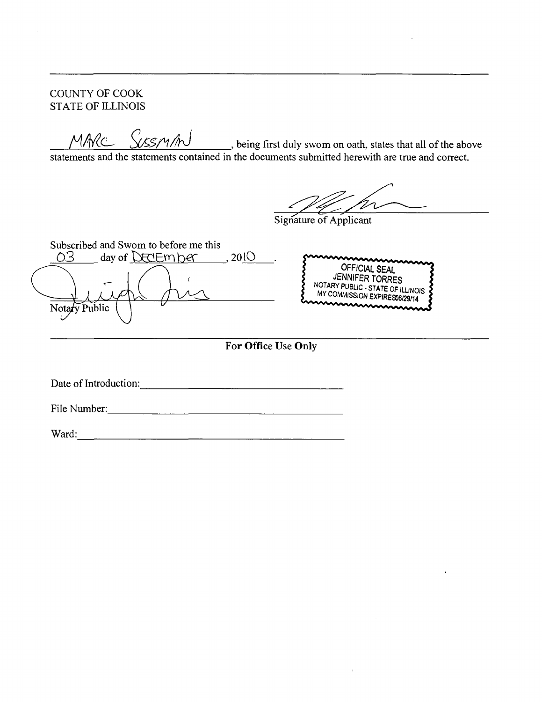COUNTY OF COOK STATE OF ILLINOIS

 $M$ A $\ell$ c being first duly swom on oath, states that all of the above

statements and the statements contained in the documents submitted herewith are true and correct.

Signature of Applicant

Subscribed and Swom to before me this<br>  $\bigcirc$ 3 day of DECIEM her day of  $DexEmper$ , 2010 **OFFICIAL SEAL JENNIFER TORRES NOTARY PUBLIC-STATE OF ILLINOIS**  MY COMMISSION EXPIRES06/29/14 Notary Public **For Office Use Only** 

Date of Introduction:

File Number:

Ward: 2008. 2008. 2009. 2009. 2009. 2009. 2009. 2009. 2009. 2009. 2009. 2009. 2009. 2009. 2009. 2009. 2009. 200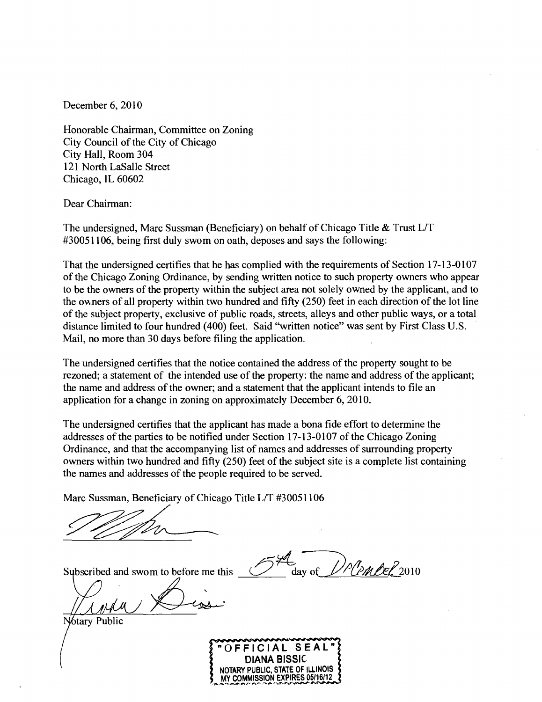December 6, 2010

Honorable Chairman, Committee on Zoning City Council of the City of Chicago City Hall, Room 304 121 North LaSalle Street Chicago, IL 60602

Dear Chairman:

The undersigned, Marc Sussman (Beneficiary) on behalf of Chicago Title  $\&$  Trust L/T #30051106, being first duly swom on oath, deposes and says the following:

That the undersigned certifies that he has complied with the requirements of Section 17-13-0107 of the Chicago Zoning Ordinance, by sending written notice to such property owners who appear to be the owners of the property within the subject area not solely owned by the applicant, and to the owners of all property within two hundred and fifty (250) feet in each direction of the lot line of the subject property, exclusive of public roads, streets, alleys and other public ways, or a total distance limited to four hundred (400) feet. Said "written notice" was sent by First Class U.S. Mail, no more than 30 days before filing the application.

The undersigned certifies that the notice contained the address of the property sought to be rezoned; a statement of the intended use of the property: the name and address of the applicant; the name and address of the owner; and a statement that the applicant intends to file an application for a change in zoning on approximately December 6, 2010.

The undersigned certifies that the applicant has made a bona fide effort to determine the addresses of the parties to be notified under Section 17-13-0107 of the Chicago Zoning Ordinance, and that the accompanying list of names and addresses of surrounding property owners within two hundred and fifty (250) feet of the subject site is a complete list containing the names and addresses of the people required to be served.

Marc Sussman, Beneficiary of Chicago Title L/T #30051106

Subscribed and swom to before me this

Notary Public



') P ( PM BER 2010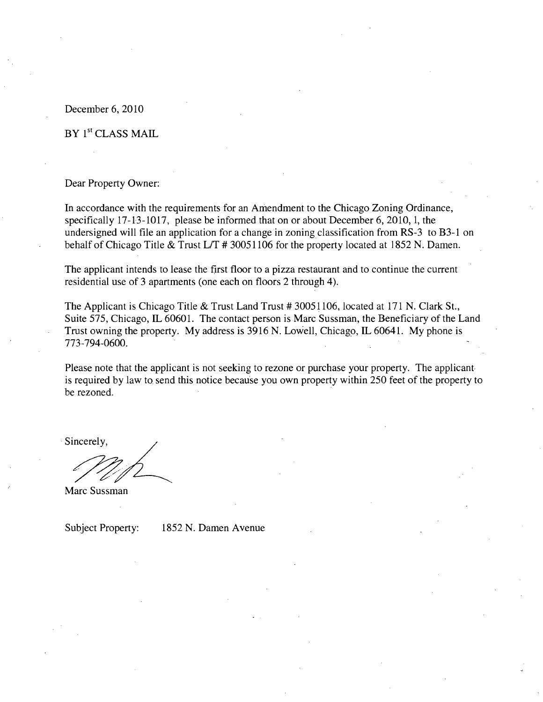#### December 6, 2010

#### BY 1<sup>st</sup> CLASS MAIL

#### Dear Property Owner:

In accordance with the requirements for an Amendment to the Chicago Zoning Ordinance, specifically 17-13-1017, please be informed that on or about December 6, 2010, 1, the undersigned will file an application for a change in zoning classification from RS-3 to B3-1 on behalf of Chicago Title & Trust L/T # 30051106 for the property located at 1852 N. Damen.

The applicant intends to lease the first floor to a pizza restaurant and to continue the current residential use of 3 apartments (one each on floors 2 through 4).

The Applicant is Chicago Title & Trust Land Trust # 30051106, located at 171 N. Clark St., Suite 575, Chicago, IL 60601. The contact person is Marc Sussman, the Beneficiary of the Land Trust owning the property. My address is 3916 N. Lowell, Chicago, IL 60641. My phone is 773-794-0600.

Please note that the applicant is not seeking to rezone or purchase your property. The applicant is required by law to send this notice because you own property within 250 feet of the property to be rezoned.

Sincerely

Marc Sussman

Subject Property: 1852 N. Damen Avenue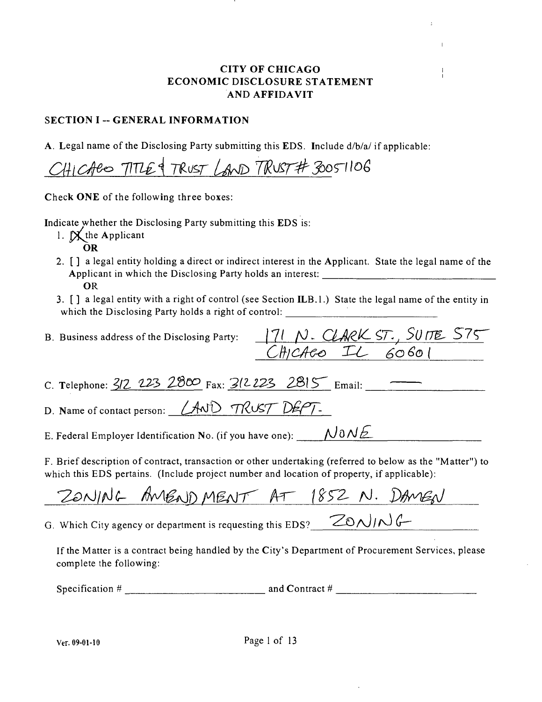#### **CITY OF CHICAGO** ECONOMIC DISCLOSURE STATEMENT A ND AFFIDAVIT

#### SECTION I -- GENERAL INFORMATION

A. Legal name of the Disclosing Party submitting this EDS. Include d/b/a/ if applicable:

CHICACO TITLE & TRUST LAND TRUST# 30051106

Check ONE of the following three boxes:

Indicate whether the Disclosing Party submitting this EDS is:

- 1.  $\mathbb{X}$  the Applicant
	- OR
- 2. [ ] a legal entity holding a direct or indirect interest in the Applicant. State the legal name of the Applicant in which the Disclosing Party holds an interest: OR
- 3. [ ] a legal entity with a right of control (see Section ILB.l.) State the legal name of the entity in which the Disclosing Party holds a right of control: \_\_\_\_\_\_\_\_\_\_\_\_\_\_\_\_\_\_\_\_\_\_\_\_\_\_\_

| B. Business address of the Disclosing Party: 171 N. CLARK ST., SUITE 575                   |
|--------------------------------------------------------------------------------------------|
| CHICAcoIL60601                                                                             |
|                                                                                            |
| C. Telephone: $3/2$ 223 2800 Fax: $3/223$ 2815 Email:                                      |
| D. Name of contact person: <i>LAND TRUST DEPT</i> -                                        |
| E. Federal Employer Identification No. (if you have one): $\bigcup_{\omega} O(N \triangle$ |
|                                                                                            |

F. Brief description of contract, transaction or other undertaking (referred to below as the "Matter") to which this EDS pertains. (Include project number and location of property, if applicable):

ZONING AMENDMENT AT 1852 N. DAMEN

G. Which City agency or department is requesting this EDS?  $\sqrt{20\Lambda}/\sqrt{6}$ 

If the Matter is a contract being handled by the City's Department of Procurement Services, please complete the following:

Specification  $\#$  and Contract  $\#$  and Contract  $\#$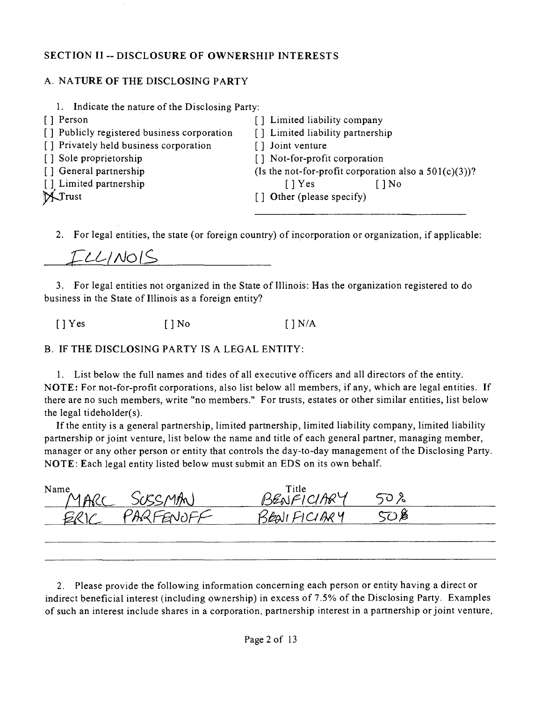#### **SECTION II - DISCLOSURE OF OWNERSHIP INTERESTS**

### A. NATURE OF THE DISCLOSING PARTY

| 1. Indicate the nature of the Disclosing Party: |                                                          |
|-------------------------------------------------|----------------------------------------------------------|
| [] Person                                       | [] Limited liability company                             |
| [] Publicly registered business corporation     | [] Limited liability partnership                         |
| [] Privately held business corporation          | Joint venture                                            |
| [] Sole proprietorship                          | [] Not-for-profit corporation                            |
| [] General partnership                          | (Is the not-for-profit corporation also a $501(c)(3)$ )? |
| [] Limited partnership                          | $\lceil$   Yes<br>[ ] No                                 |
| XTrust                                          | [] Other (please specify)                                |
|                                                 |                                                          |
|                                                 |                                                          |

2. For legal entities, the state (or foreign country) of incorporation or organization, if applicable:

ILLINOIS 

3. For legal entities not organized in the State of Illinois: Has the organization registered to do business in the State of Illinois as a foreign entity?

 $[$  | Yes  $[$  | No  $[$  | N/A

B. IF THE DISCLOSING PARTY IS A LEGAL ENTITY:

1. List below the full names and tides of all executive officers and all directors of the entity. NOTE: For not-for-profit corporations, also list below all members, if any, which are legal entities. If there are no such members, write "no members." For trusts, estates or other similar entities, list below the legal tideholder(s).

If the entity is a general partnership, limited partnership, limited liability company, limited liability partnership or joint venture, list below the name and title of each general partner, managing member, manager or any other person or entity that controls the day-to-day management of the Disclosing Party. NOTE: Each legal entity listed below must submit an EDS on its own behalf.

| Name<br>$MAD-$ | SCRCMAN)            | Title<br>JARY |  |
|----------------|---------------------|---------------|--|
|                | FENNEE<br>$Z$ ing i | CIAAY         |  |
|                |                     |               |  |

2. Please provide the following information concerning each person or entity having a direct or indirect beneficial interest (including ownership) in excess of 7.5% of the Disclosing Party. Examples of such an interest include shares in a corporation, partnership interest in a partnership or joint venture.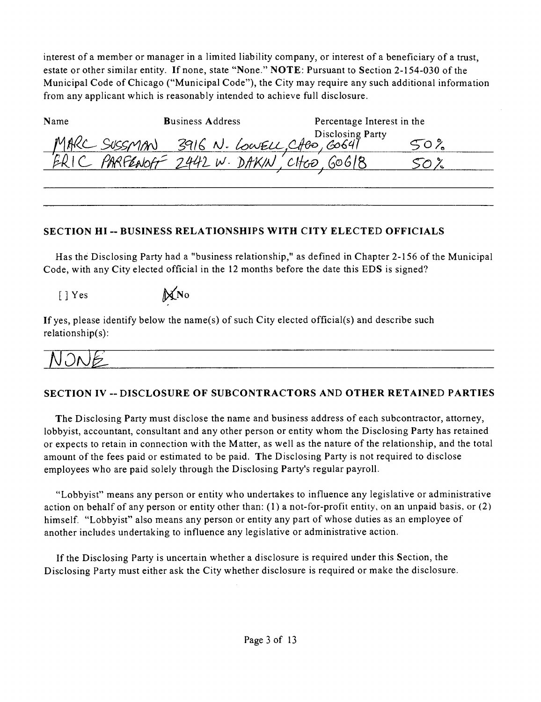interest of a member or manager in a limited liability company, or interest of a beneficiary of a trust, estate or other similar entity. If none, state "None." NOTE: Pursuant to Section 2-154-030 of the Municipal Code of Chicago ("Municipal Code"), the City may require any such additional information from any applicant which is reasonably intended to achieve full disclosure.

| Name | <b>Business Address</b>                  | Percentage Interest in the |  |
|------|------------------------------------------|----------------------------|--|
|      | MAKC SUSSMAN 3916 N. LOWELL, CABO, GOG41 | Disclosing Party           |  |
|      | PARFENOFF 2442 W. DAKIN'                 |                            |  |
|      |                                          |                            |  |

#### **SECTION HI - BUSINESS RELATIONSHIPS WITH CITY ELECTED OFFICIALS**

Has the Disclosing Party had a "business relationship," as defined in Chapter 2-156 of the Municipal Code, with any City elected official in the 12 months before the date this EDS is signed?

 $[ ]$  Yes  $\mathbb{M}$  No

If yes, please identify below the name(s) of such City elected official(s) and describe such relationship(s):

NONE

# **SECTION IV ~ DISCLOSURE OF SUBCONTRACTORS AND OTHER RETAINED PARTIES**

The Disclosing Party must disclose the name and business address of each subcontractor, attorney, lobbyist, accountant, consultant and any other person or entity whom the Disclosing Party has retained or expects to retain in connection with the Matter, as well as the nature of the relationship, and the total amount of the fees paid or estimated to be paid. The Disclosing Party is not required to disclose employees who are paid solely through the Disclosing Party's regular payroll.

"Lobbyist" means any person or entity who undertakes to influence any legislative or administrative action on behalf of any person or entity other than: (1) a not-for-profit entity, on an unpaid basis, or (2 ) himself. "Lobbyist" also means any person or entity any part of whose duties as an employee of another includes undertaking to influence any legislative or administrative action.

If the Disclosing Party is uncertain whether a disclosure is required under this Section, the Disclosing Party must either ask the City whether disclosure is required or make the disclosure.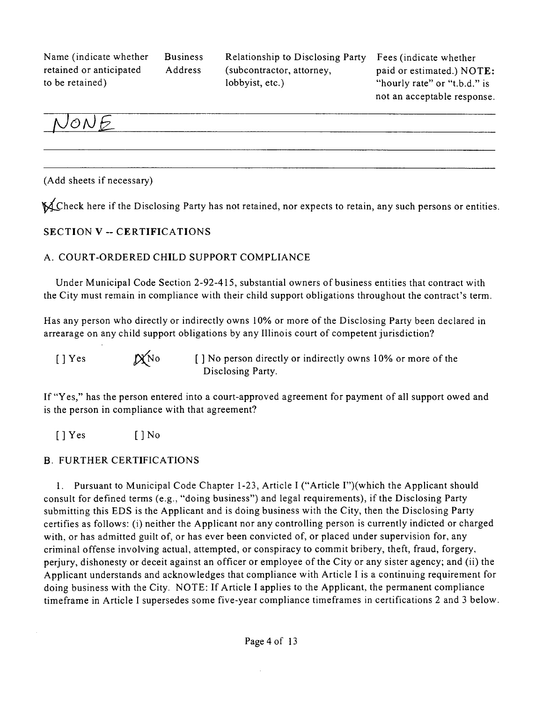Name (indicate whether Business retained or anticipated Address to be retained)

Relationship to Disclosing Party (subcontractor, attorney, lobbyist, etc.)

Fees (indicate whether paid or estimated.) NOTE: "hourly rate" or "t.b.d." is not an acceptable response.



(Add sheets if necessary)

^^4Xheck here ifthe Disclosing Party has not retained, nor expects to retain, any such persons or entities.

#### **SECTION V - CERTIFICATIONS**

#### A. COURT-ORDERED CHILD SUPPORT COMPLIANCE

Under Municipal Code Section 2-92-415, substantial owners of business entities that contract with the City must remain in compliance with their child support obligations throughout the contract's term.

Has any person who directly or indirectly owns 10% or more of the Disclosing Party been declared in arrearage on any child support obligations by any Illinois court of competent jurisdiction?

[ ] Yes  $\beta$   $\beta$   $\gamma$   $\beta$  o  $\gamma$   $\beta$  or  $\gamma$  of the  $\gamma$  or  $\gamma$  or  $\gamma$  or  $\gamma$  of the Disclosing Party.

If "Yes," has the person entered into a court-approved agreement for payment of all support owed and is the person in compliance with that agreement?

[]Yes []No

#### B. FURTHER CERTIFICATIONS

1. Pursuant to Municipal Code Chapter 1-23, Article I ("Article I")(which the Applicant should consult for defined terms (e.g., "doing business") and legal requirements), if the Disclosing Party submitting this EDS is the Applicant and is doing business with the City, then the Disclosing Party certifies as follows: (i) neither the Applicant nor any controlling person is currently indicted or charged with, or has admitted guilt of, or has ever been convicted of, or placed under supervision for, any criminal offense involving actual, attempted, or conspiracy to commit bribery, theft, fraud, forgery, perjury, dishonesty or deceit against an officer or employee ofthe City or any sister agency; and (ii) the Applicant understands and acknowledges that compliance with Article I is a continuing requirement for doing business with the City. NOTE: If Article I applies to the Applicant, the permanent compliance timeframe in Article I supersedes some five-year compliance timeframes in certifications 2 and 3 below.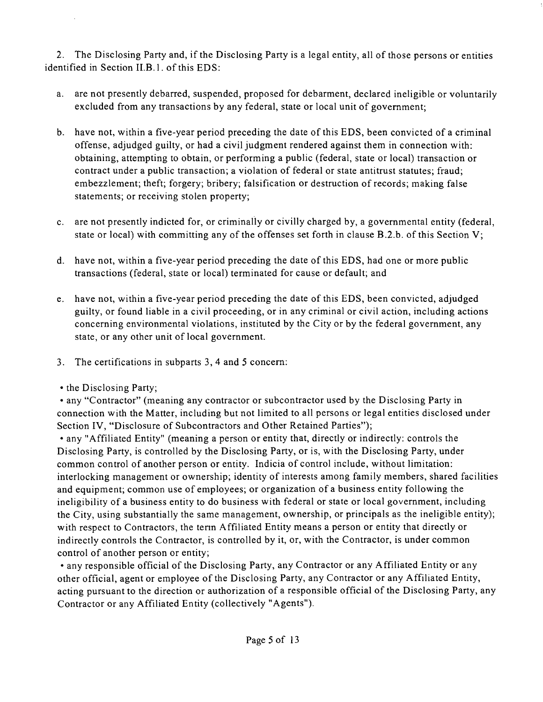2. The Disclosing Party and, if the Disclosing Party is a legal entity, all of those persons or entities identified in Section II.B.1. of this EDS:

- a. are not presently debarred, suspended, proposed for debarment, declared ineligible or voluntarily excluded from any transactions by any federal, state or local unit of govemment;
- b. have not, within a five-year period preceding the date of this EDS, been convicted of a criminal offense, adjudged guilty, or had a civil judgment rendered against them in connection with: obtaining, attempting to obtain, or performing a public (federal, state or local) transaction or contract under a public transaction; a violation of federal or state antitrust statutes; fraud; embezzlement; theft; forgery; bribery; falsification or destruction of records; making false statements; or receiving stolen property;
- c. are not presently indicted for, or criminally or civilly charged by, a governmental entity (federal, state or local) with committing any of the offenses set forth in clause B.2.b. of this Section V;
- d. have not, within a five-year period preceding the date of this EDS, had one or more public transactions (federal, state or local) terminated for cause or default; and
- e. have not, within a five-year period preceding the date of this EDS, been convicted, adjudged guilty, or found liable in a civil proceeding, or in any criminal or civil action, including actions concerning environmental violations, instituted by the City or by the federal government, any state, or any other unit of local government.
- 3. The certifications in subparts 3, 4 and 5 concem:
- the Disclosing Party;

• any "Contractor" (meaning any contractor or subcontractor used by the Disclosing Party in connection with the Matter, including but not limited to all persons or legal entities disclosed under Section IV, "Disclosure of Subcontractors and Other Retained Parties");

• any "Affiliated Entity" (meaning a person or entity that, directly or indirectly: controls the Disclosing Party, is controlled by the Disclosing Party, or is, with the Disclosing Party, under common control of another person or entity. Indicia of control include, without limitation: interlocking management or ownership; identity of interests among family members, shared facilities and equipment; common use of employees; or organization of a business entity following the ineligibility of a business entity to do business with federal or state or local government, including the City, using substantially the same management, ownership, or principals as the ineligible entity); with respect to Contractors, the tenn Affiliated Entity means a person or entity that directly or indirectly controls the Contractor, is controlled by it, or, with the Contractor, is under common control of another person or entity;

• any responsible official of the Disclosing Party, any Contractor or any Affiliated Entity or any other official, agent or employee of the Disclosing Party, any Contractor or any Affiliated Entity, acting pursuant to the direction or authorization of a responsible official of the Disclosing Party, any Contractor or any Affiliated Entity (collectively "Agents").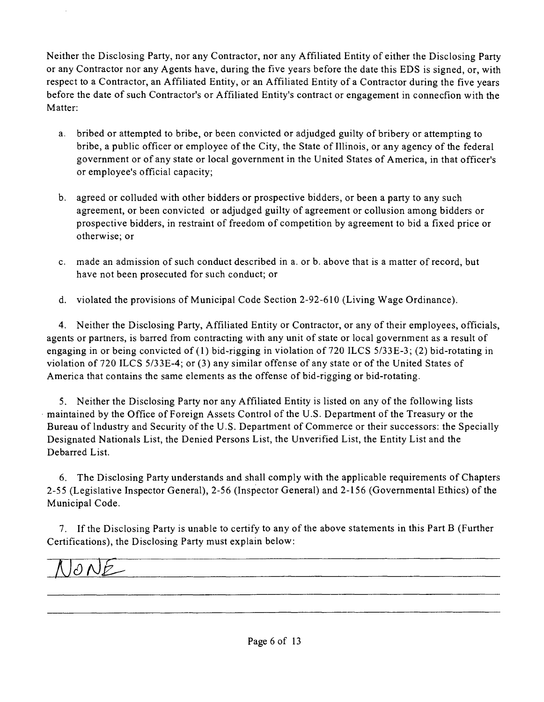Neither the Disclosing Party, nor any Contractor, nor any Affiliated Entity of either the Disclosing Party or any Contractor nor any Agents have, during the five years before the date this EDS is signed, or, with respect to a Contractor, an Affiliated Entity, or an Affiliated Entity of a Contractor during the five years before the date of such Contractor's or Affiliated Entity's contract or engagement in connecfion with the Matter:

- a. bribed or attempted to bribe, or been convicted or adjudged guilty of bribery or attempting to bribe, a public officer or employee ofthe City, the State of Illinois, or any agency of the federal government or of any state or local government in the United States of America, in that officer's or employee's official capacity;
- b. agreed or colluded with other bidders or prospective bidders, or been a party to any such agreement, or been convicted or adjudged guilty of agreement or collusion among bidders or prospective bidders, in restraint of freedom of competition by agreement to bid a fixed price or otherwise; or
- c. made an admission of such conduct described in a. or b. above that is a matter of record, but have not been prosecuted for such conduct; or
- d. violated the provisions of Municipal Code Section 2-92-610 (Living Wage Ordinance).

4. Neither the Disclosing Party, Affiliated Entity or Contractor, or any of their employees, officials, agents or partners, is barred from contracting with any unit of state or local government as a result of engaging in or being convicted of (1) bid-rigging in violation of 720 ILCS 5/33E-3; (2) bid-rotating in violation of 720 ILCS 5/33E-4; or (3) any similar offense ofany state or of the United States of America that contains the same elements as the offense of bid-rigging or bid-rotating.

5. Neither the Disclosing Party nor any Affiliated Entity is listed on any of the following lists maintained by the Office of Foreign Assets Control of the U.S. Department of the Treasury or the Bureau oflndustry and Security of the U.S. Department of Commerce or their successors: the Specially Designated Nationals List, the Denied Persons List, the Unverified List, the Entity List and the Debarred List.

6. The Disclosing Party understands and shall comply with the applicable requirements of Chapters 2-55 (Legislative Inspector General), 2-56 (Inspector General) and 2-156 (Governmental Ethics) of the Municipal Code.

7. If the Disclosing Party is unable to certify to any of the above statements in this Part B (Further Certifications), the Disclosing Party must explain below:

 $\partial$  N  $\mathcal{P}_-$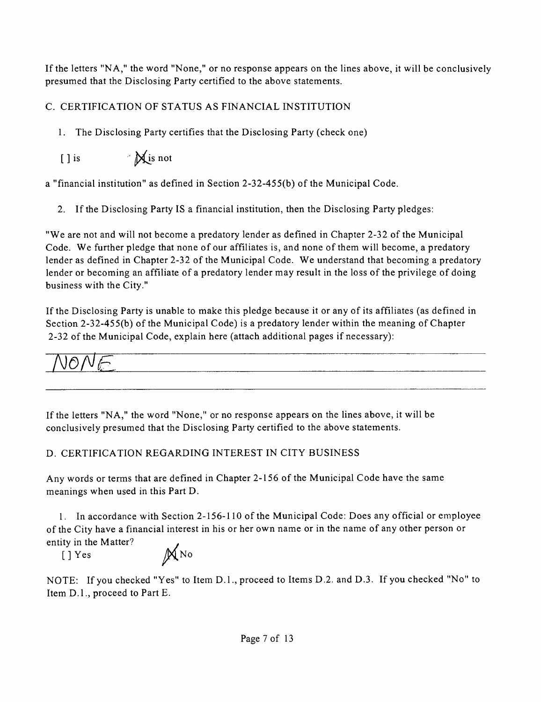If the letters "NA, " the word "None," or no response appears on the lines above, it will be conclusively presumed that the Disclosing Party certified to the above statements.

# C. CERTIFICATION OF STATUS AS FINANCIAL INSTITUTION

1. The Disclosing Party certifies that the Disclosing Party (check one)

 $[ ]$  is  $\mathbb{X}$  is not

a "financial institution" as defined in Section 2-32-455(b) of the Municipal Code.

2. If the Disclosing Party IS a financial institution, then the Disclosing Party pledges:

"We are not and will not become a predatory lender as defined in Chapter 2-32 of the Municipal Code. We further pledge that none of our affiliates is, and none of them will become, a predatory lender as defined in Chapter 2-32 of the Municipal Code. We understand that becoming a predatory lender or becoming an affiliate of a predatory lender may result in the loss of the privilege of doing business with the City."

If the Disclosing Party is unable to make this pledge because it or any of its affiliates (as defined in Section 2-32-455(b) of the Municipal Code) is a predatory lender within the meaning of Chapter 2-32 of the Municipal Code, explain here (attach additional pages if necessary):

$$
\overline{\text{NONE}}
$$

If the letters "NA, " the word "None," or no response appears on the lines above, it will be conclusively presumed that the Disclosing Party certified to the above statements.

# D. CERTIFICATION REGARDING INTEREST IN CITY BUSINESS

Any words or terms that are defined in Chapter 2-156 of the Municipal Code have the same meanings when used in this Part D.

*1. In accordance with Section 2-1 56-110 of the Municipal Code: Does any official or employee of the City have a financial interest in his or her own name or in the name of any other person or entity in the Matter? .* 

 $[]$  Yes  $\mathbb{M}$ No

NOTE: If you checked "Yes" to Item D.l. , proceed to Items D.2. and D.3. If you checked "No" to Item D.l. , proceed to Part E.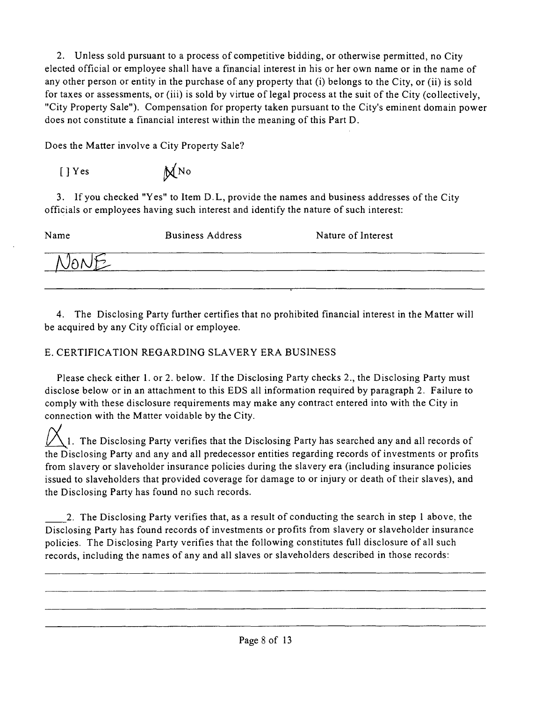2. Unless sold pursuant to a process of competitive bidding, or otherwise permitted, no City elected official or employee shall have a financial interest in his or her own name or in the name of any other person or entity in the purchase of any property that (i) belongs to the City, or (ii) is sold for taxes or assessments, or (iii) is sold by virtue of legal process at the suit of the City (collectively, "City Property Sale"). Compensation for property taken pursuant to the City's eminent domain power does not constitute a financial interest within the meaning of this Part D.

Does the Matter involve a City Property Sale?

 $[ ] Yes$  M No

3. If you checked "Yes" to Item D.L, provide the names and business addresses ofthe City officials or employees having such interest and identify the nature of such interest:

| Name | <b>Business Address</b> | Nature of Interest |
|------|-------------------------|--------------------|
|      |                         |                    |
|      |                         |                    |

4. The Disclosing Party further certifies that no prohibited financial interest in the Matter will be acquired by any City official or employee.

# E. CERTIFICATION REGARDING SLAVERY ERA BUSINESS

Please check either 1. or 2. below. If the Disclosing Party checks 2., the Disclosing Party must disclose below or in an attachment to this EDS all information required by paragraph 2. Failure to comply with these disclosure requirements may make any contract entered into with the City in connection with the Matter voidable by the City.

1. The Disclosing Party verifies that the Disclosing Party has searched any and all records of the Disclosing Party and any and all predecessor entities regarding records of investments or profits from slavery or slaveholder insurance policies during the slavery era (including insurance policies issued to slaveholders that provided coverage for damage to or injury or death of their slaves), and the Disclosing Party has found no such records.

2. The Disclosing Party verifies that, as a result of conducting the search in step 1 above, the Disclosing Party has found records of investments or profits from slavery or slaveholder insurance policies. The Disclosing Party verifies that the following constitutes full disclosure of all such records, including the names of any and all slaves or slaveholders described in those records: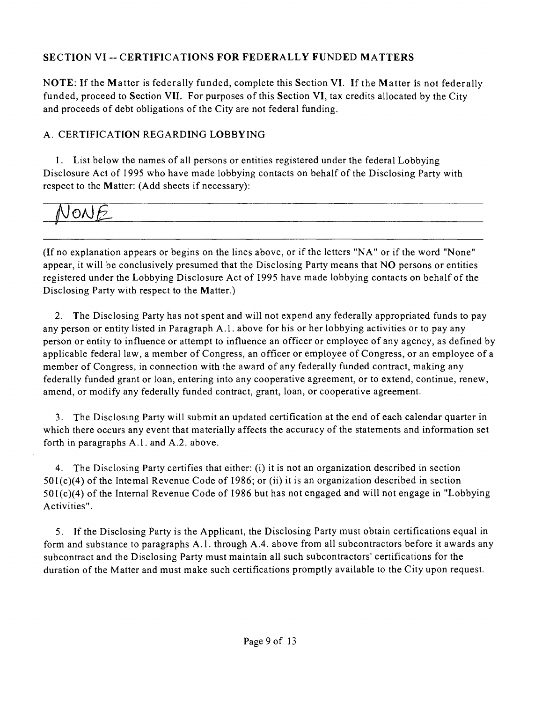# **SECTION VI - CERTIFICATIONS FOR FEDERALLY FUNDED MATTERS**

NOTE: If the Matter is federally funded, complete this Section VI. If the Matter is not federally funded, proceed to Section VIL For purposes of this Section VI, tax credits allocated by the City and proceeds of debt obligations of the City are not federal funding.

# A. CERTIFICATION REGARDING LOBBYING

1. List below the names of all persons or entities registered under the federal Lobbying Disclosure Act of 1995 who have made lobbying contacts on behalf of the Disclosing Party with respect to the Matter: (Add sheets if necessary):

# IONE

(If no explanation appears or begins on the lines above, or ifthe letters "NA" or ifthe word "None" appear, it will be conclusively presumed that the Disclosing Party means that NO persons or entities registered under the Lobbying Disclosure Act of 1995 have made lobbying contacts on behalf of the Disclosing Party with respect to the Matter.)

2. The Disclosing Party has not spent and will not expend any federally appropriated funds to pay any person or entity listed in Paragraph A.l . above for his or her lobbying activities or to pay any person or entity to influence or attempt to influence an officer or employee of any agency, as defined by applicable federal law, a member of Congress, an officer or employee of Congress, or an employee of a member of Congress, in connection with the award of any federally funded contract, making any federally funded grant or loan, entering into any cooperative agreement, or to extend, continue, renew, amend, or modify any federally funded contract, grant, loan, or cooperative agreement.

3. The Disclosing Party will submit an updated certification at the end of each calendar quarter in which there occurs any event that materially affects the accuracy of the statements and information set forth in paragraphs A.l . and A.2. above.

4. The Disclosing Party certifies that either: (i) it is not an organization described in section  $501(c)(4)$  of the Intemal Revenue Code of 1986; or (ii) it is an organization described in section 501(c)(4) of the Intemal Revenue Code of 1986 but has not engaged and will not engage in "Lobbying Activities".

5. If the Disclosing Party is the Applicant, the Disclosing Party must obtain certifications equal in form and substance to paragraphs A.l . through A.4. above from all subcontractors before it awards any subcontract and the Disclosing Party must maintain all such subcontractors' certifications for the duration of the Matter and must make such certifications promptly available to the City upon request.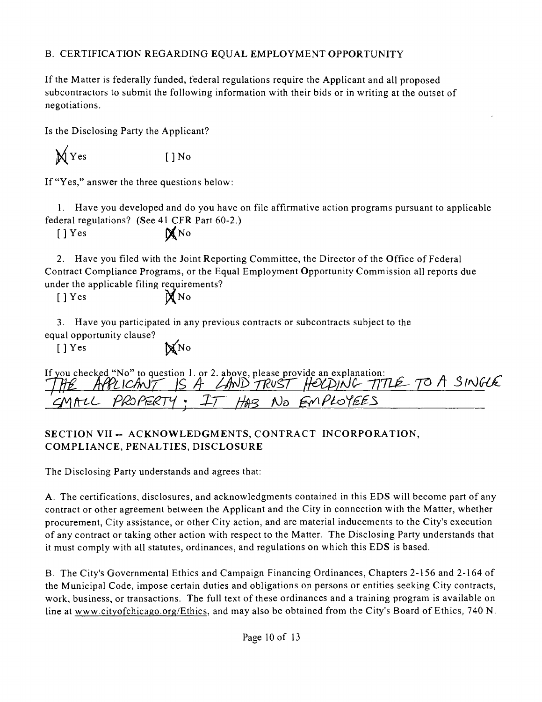## B. CERTIFICATION REGARDING EQUAL EMPLOYMENT OPPORTUNITY

If the Matter is federally funded, federal regulations require the Applicant and all proposed subcontractors to submit the following information with their bids or in writing at the outset of negotiations.

Is the Disclosing Party the Applicant?

 $\bigvee$  Yes []No

If "Yes," answer the three questions below:

1. Have you developed and do you have on file affirmative action programs pursuant to applicable federal regulations? (See 41 CFR Part 60-2.)

 $[$  | Yes  $\mathbb{X}$  No

2. Have you filed with the Joint Reporting Committee, the Director of the Office of Federal Contract Compliance Programs, or the Equal Employment Opportunity Commission all reports due under the applicable filing requirements?

 $[$   $]$   $Y$  es

$$
\mathbb{X}^{\text{No}}
$$

3. Have you participated in any previous contracts or subcontracts subject to the equal opportunity clause?

 $[ ]$  Yes  $\mathbb{M}$ No

|  |  |                                      | If you checked "No" to question 1. or 2. above, please provide an explanation:<br>THE APPLICANT IS A LAND TRUST HELDING TITLE TO A SINGUE |
|--|--|--------------------------------------|-------------------------------------------------------------------------------------------------------------------------------------------|
|  |  | 'CMALL PROPERTY: IT HAS NO EMPLOYEES |                                                                                                                                           |

# **SECTION VII - ACKNOWLEDGMENTS, CONTRACT INCORPORATION, COMPLIANCE, PENALTIES, DISCLOSURE**

The Disclosing Party understands and agrees that:

A. The certifications, disclosures, and acknowledgments contained in this EDS will become part of any contract or other agreement between the Applicant and the City in connection with the Matter, whether procurement, City assistance, or other City action, and are material inducements to the City's execution of any contract or taking other action with respect to the Matter. The Disclosing Party understands that it must comply with all statutes, ordinances, and regulations on which this EDS is based.

B. The City's Governmental Ethics and Campaign Financing Ordinances, Chapters 2-156 and 2-164 of the Municipal Code, impose certain duties and obligations on persons or entities seeking City contracts, work, business, or transactions. The full text of these ordinances and a training program is available on line at www.cityofchicago.org/Ethics, and may also be obtained from the City's Board of Ethics, 740 N.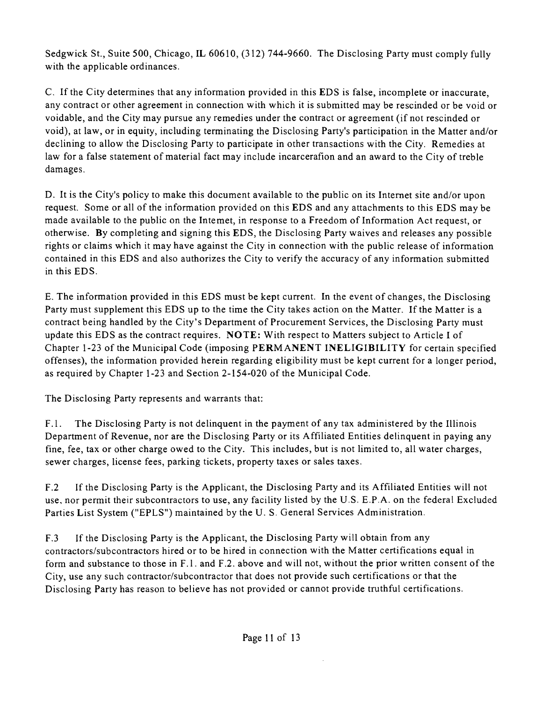Sedgwick St., Suite 500, Chicago, IL 60610, (312) 744-9660. The Disclosing Party must comply fully with the applicable ordinances.

C. If the City determines that any information provided in this EDS is false, incomplete or inaccurate, any contract or other agreement in connection with which it is submitted may be rescinded or be void or voidable, and the City may pursue any remedies under the contract or agreement (if not rescinded or void), at law, or in equity, including terminating the Disclosing Party's participation in the Matter and/or declining to allow the Disclosing Party to participate in other transactions with the City. Remedies at law for a false statement of material fact may include incarcerafion and an award to the City of treble damages.

D. It is the City's policy to make this document available to the public on its Internet site and/or upon request. Some or all of the information provided on this EDS and any attachments to this EDS may be made available to the public on the Intemet, in response to a Freedom of Information Act request, or otherwise. By completing and signing this EDS, the Disclosing Party waives and releases any possible rights or claims which it may have against the City in connection with the public release of information contained in this EDS and also authorizes the City to verify the accuracy of any information submitted in this EDS.

E. The information provided in this EDS must be kept current. In the event of changes, the Disclosing Party must supplement this EDS up to the time the City takes action on the Matter. If the Matter is a contract being handled by the City's Department of Procurement Services, the Disclosing Party must update this EDS as the contract requires. NOTE: With respect to Matters subject to Article I of Chapter 1-23 of the Municipal Code (imposing PERMANENT INELIGIBILITY for certain specified offenses), the information provided herein regarding eligibility must be kept current for a longer period, as required by Chapter 1-23 and Section 2-154-020 of the Municipal Code.

The Disclosing Party represents and warrants that:

F.1. The Disclosing Party is not delinquent in the payment of any tax administered by the Illinois Department of Revenue, nor are the Disclosing Party or its Affiliated Entities delinquent in paying any fine, fee, tax or other charge owed to the City. This includes, but is not limited to, all water charges, sewer charges, license fees, parking tickets, property taxes or sales taxes.

F.2 If the Disclosing Party is the Applicant, the Disclosing Party and its Affiliated Entities will not use, nor permit their subcontractors to use, any facility listed by the U.S. E.P.A. on the federal Excluded Parties List System ("EPLS") maintained by the U. S. General Services Administration.

F.3 If the Disclosing Party is the Applicant, the Disclosing Party will obtain from any contractors/subcontractors hired or to be hired in connection with the Matter certifications equal in form and substance to those in F.l . and F.2. above and will not, without the prior written consent of the City, use any such contractor/subcontractor that does not provide such certifications or that the Disclosing Party has reason to believe has not provided or cannot provide tmthful certifications.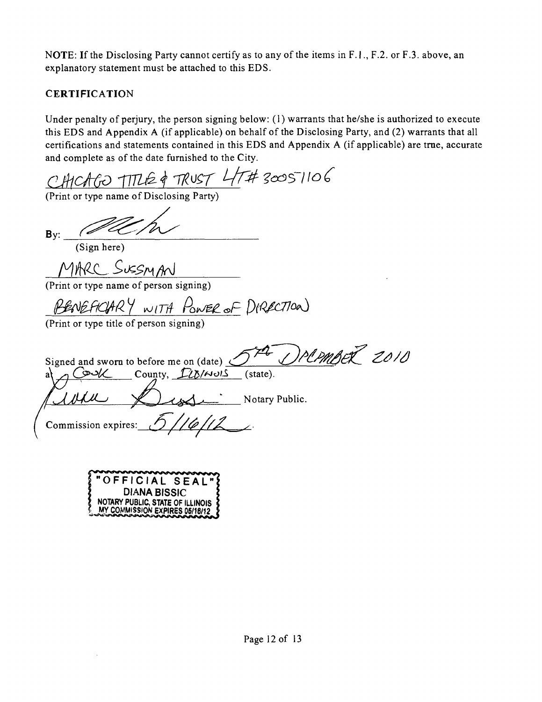NOTE: If the Disclosing Party cannot certify as to any of the items in F.I., F.2. or F.3. above, an explanatory statement must be attached to this EDS.

# **CERTIFICATION**

Under penalty of perjury, the person signing below: (1) warrants that he/she is authorized to execute this EDS and Appendix A (if applicable) on behalf of the Disclosing Party, and (2) warrants that all certifications and statements contained in this EDS and Appendix A (if applicable) are tme, accurate and complete as of the date furnished to the City.

CHICAGO TITLE & TRUST 47# 30051106

By:

(Sign here)

MARC SUSSMAN

(Print or type name of person signing)

BENEACHRY WITH POWER OF DIRECTION

(Print or type title of person signing)

J PLPMBER 2010 Signed and sworn to before me on (date)  $\leq$ County,  $\mathcal{L}(\mathcal{L})/\sim$  (state). Notary Public. Commission expires:

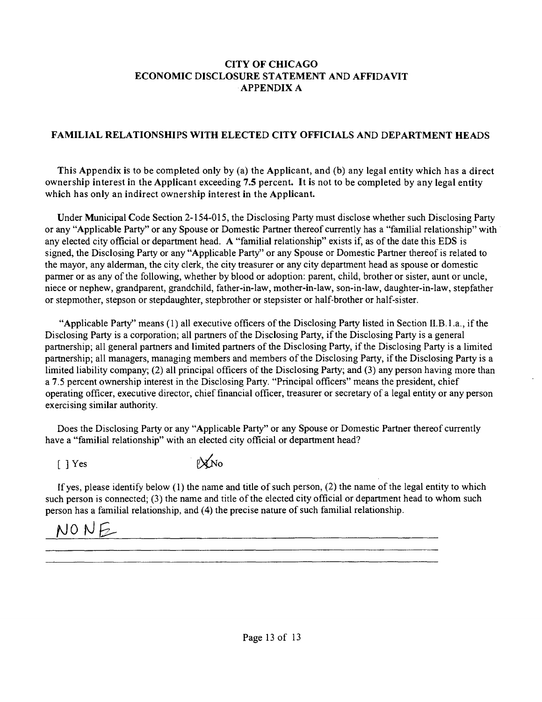#### **CITY OF CHICAGO ECONOMIC DISCLOSURE STATEMENT AND AFFIDAVIT APPENDIX A**

### **FAMILIAL RELATIONSHIPS WITH ELECTED CITY OFFICIALS AND DEPARTMENT HEADS**

**This Appendix is to be completed only by (a) the Applicant, and (b) any legal entity which has a direct ownership interest in the Applicant exceeding 7.5 percent. It is not to be completed by any legal entity which has only an indirect ownership interest in the Applicant.** 

Under Municipal Code Section 2-154-015, the Disclosing Party must disclose whether such Disclosing Party or any "Applicable Party" or any Spouse or Domestic Partner thereof currently has a "familial relationship" with any elected city official or department head. A "familial relationship" exists if, as of the date this EDS is signed, the Disclosing Party or any "Applicable Party" or any Spouse or Domestic Partner thereof is related to the mayor, any alderman, the city clerk, the city treasurer or any city department head as spouse or domestic parmer or as any of the following, whether by blood or adoption: parent, child, brother or sister, aunt or uncle, niece or nephew, grandparent, grandchild, father-in-law, mother-in-law, son-in-law, daughter-in-law, stepfather or stepmother, stepson or stepdaughter, stepbrother or stepsister or half-brother or half-sister.

"Applicable Party" means (1) all executive officers of the Disclosing Party listed in Section U.B. 1 .a., if the Disclosing Party is a corporation; all partners of the Disclosing Party, if the Disclosing Party is a general partnership; all general partners and limited partners of the Disclosing Party, if the Disclosing Party is a limited partnership; all managers, managing members and members of the Disclosing Party, if the Disclosing Party is a limited liability company; (2) all principal officers of the Disclosing Party; and (3) any person having more than a 7.5 percent ownership interest in the Disclosing Party. "Principal officers" means the president, chief operating officer, executive director, chief financial officer, tteasurer or secretary of a legal entity or any person exercising similar authority.

Does the Disclosing Party or any "Applicable Party" or any Spouse or Domestic Partner thereof currently have a "familial relationship" with an elected city official or department head?

 $[$   $]$  Yes  $[$   $]$   $\mathbb{X}$  No

If yes, please identify below  $(1)$  the name and title of such person,  $(2)$  the name of the legal entity to which such person is connected; (3) the name and title of the elected city official or department head to whom such person has a familial relationship, and (4) the precise nature of such familial relationship.

# $N0NE$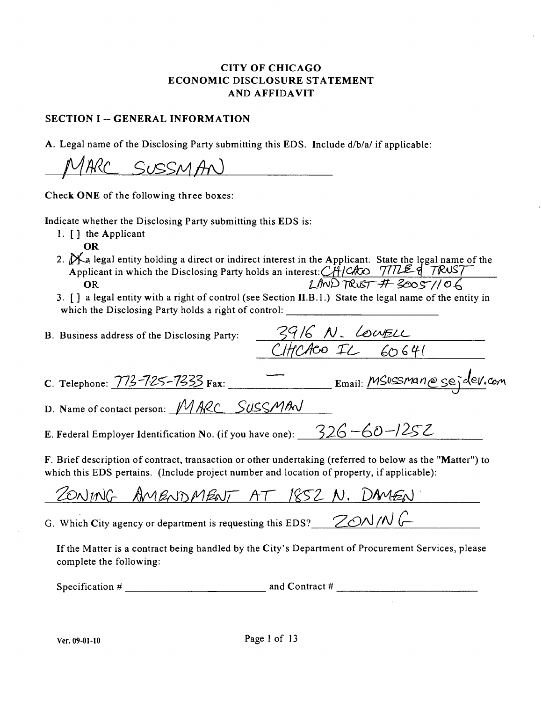#### CITY OF CHICAGO ECONOMIC DISCLOSURE STATEMENT A ND AFFIDAVIT

#### **SECTION I -- GENERAL INFORMATION**

A. Legal name of the Disclosing Party submitting this EDS. Include d/b/a/ if applicable:

TARC SUSSMAN

Check ONE of the following three boxes:

Indicate whether the Disclosing Party submitting this EDS is:

- 1. [ ] the Applicant
	- OR
- 2.  $\mathcal{X}_a$  legal entity holding a direct or indirect interest in the Applicant. State the legal name of the Applicant in which the Disclosing Party holds an interest:*CHICh*CO 777LE q<sup>-7</sup>*R*WST *COR* **OR** *COR COR COR COR COR COR COR COR COR COR COR COR COR COR COR COR COR COR COR COR COR COR COR COR COR COR COR COR COR COR*
- 3. [ ] a legal entity with a right of control (see Section II.B.1.) State the legal name of the entity in which the Disclosing Party holds a right of control:

*B. Business address of the Disclosing Party:*  $\frac{3916N. \text{Lower} }{C\text{H}C\text{A}C\text{O} \cdot \text{L} \cdot \text{C} \cdot 60.641}$ 

C. Telephone: 773-725-7333 Fax: Email: MSUSSMan@sejdev.com

D. Name of contact person:  $MARC$  SUSSMAN

E. Federal Employer Identification No. (if you have one):  $326 - 60 - 1252$ 

F. Brief description of contract, transaction or other undertaking (referred to below as the "Matter") to which this EDS pertains. (Include project number and location of property, if applicable):

ZONING AMENDMENT AT 1852 N. DAMEN

G. Which City agency or department is requesting this EDS?  $ZON/N$ 

If the Matter is a contract being handled by the City's Department of Procurement Services, please complete the following:

Specification  $#$  and Contract  $#$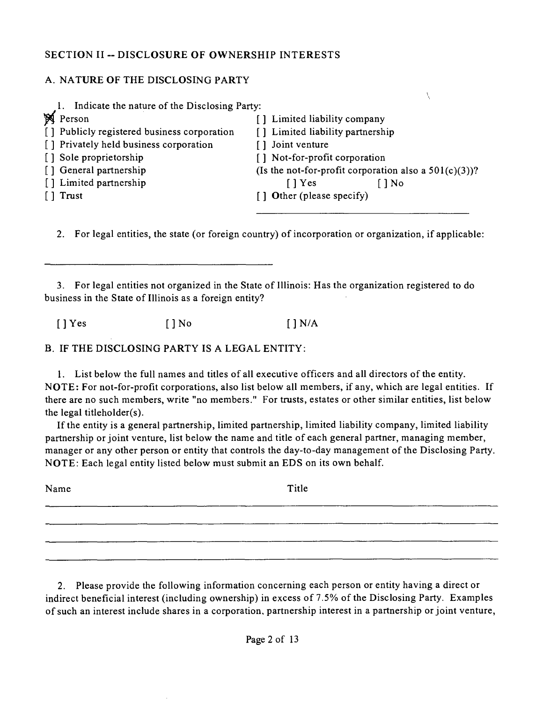#### **SECTION II ~ DISCLOSURE OF OWNERSHIP INTERESTS**

### A. NATURE OF THE DISCLOSING PARTY

|             | Indicate the nature of the Disclosing Party: |                                                          |                          |  |
|-------------|----------------------------------------------|----------------------------------------------------------|--------------------------|--|
| $\mathbb N$ | Person                                       | Limited liability company                                |                          |  |
|             | [] Publicly registered business corporation  | [] Limited liability partnership                         |                          |  |
|             | [] Privately held business corporation       | Joint venture                                            |                          |  |
|             | [] Sole proprietorship                       | [] Not-for-profit corporation                            |                          |  |
|             | [] General partnership                       | (Is the not-for-profit corporation also a $501(c)(3)$ )? |                          |  |
|             | [] Limited partnership                       | $\lceil$   Yes                                           | $\overline{) \text{No}}$ |  |
|             | Trust                                        | [] Other (please specify)                                |                          |  |
|             |                                              |                                                          |                          |  |

2. For legal entities, the state (or foreign country) of incorporation or organization, if applicable:

3. For legal entities not organized in the State of Illinois: Has the organization registered to do business in the State of Illinois as a foreign entity?

 $[$  ] Yes  $[$  ] No  $[$  ] N/A

B. IF THE DISCLOSING PARTY IS A LEGAL ENTITY:

1. List below the full names and titles of all executive officers and all directors of the entity. NOTE: For not-for-profit corporations, also list below all members, if any, which are legal entities. If there are no such members, write "no members." For tmsts, estates or other similar entities, list below the legal titleholder $(s)$ .

If the entity is a general partnership, limited partnership, limited liability company, limited liability partnership or joint venture, list below the name and title of each general partner, managing member, manager or any other person or entity that controls the day-to-day management of the Disclosing Party. NOTE: Each legal entity listed below must submit an EDS on its own behalf.

Name Title

2. Please provide the following information concerning each person or entity having a direct or indirect beneficial interest (including ownership) in excess of 7.5% of the Disclosing Party. Examples of such an interest include shares in a corporation, partnership interest in a partnership or joint venture,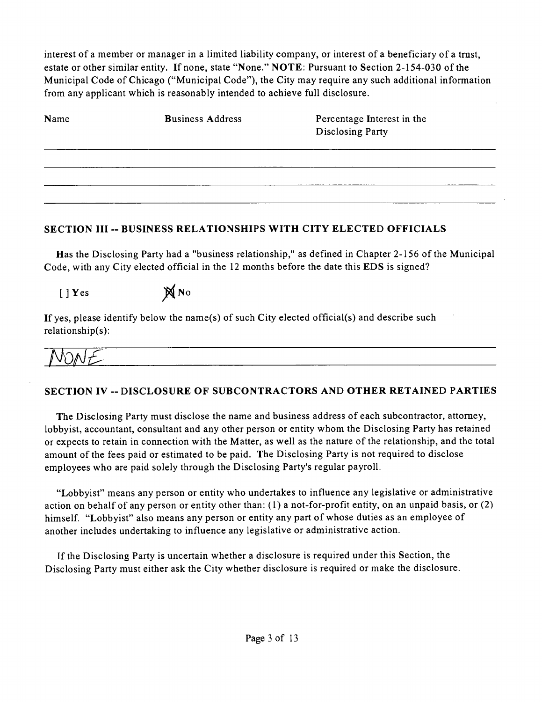interest of a member or manager in a limited liability company, or interest of a beneficiary of a tmst, estate or other similar entity. If none, state "None." NOTE: Pursuant to Section 2-154-030 of the Municipal Code of Chicago ("Municipal Code"), the City may require any such additional information from any applicant which is reasonably intended to achieve full disclosure.

| Name | <b>Business Address</b> | Percentage Interest in the<br>Disclosing Party |
|------|-------------------------|------------------------------------------------|
|      |                         |                                                |
|      |                         |                                                |
|      |                         |                                                |

### **SECTION III - BUSINESS RELATIONSHIPS WITH CITY ELECTED OFFICIALS**

Has the Disclosing Party had a "business relationship," as defined in Chapter 2-156 of the Municipal Code, with any City elected official in the 12 months before the date this EDS is signed?

# $[$  ] Yes  $\mathbb{N}$  No

If yes, please identify below the name(s) of such City elected official(s) and describe such relationship(s):

**jr** 

## **SECTION IV ~ DISCLOSURE OF SUBCONTRACTORS AND OTHER RETAINED PARTIES**

The Disclosing Party must disclose the name and business address of each subcontractor, attomey, lobbyist, accountant, consultant and any other person or entity whom the Disclosing Party has retained or expects to retain in connection with the Matter, as well as the nature of the relationship, and the total amount of the fees paid or estimated to be paid. The Disclosing Party is not required to disclose employees who are paid solely through the Disclosing Party's regular payroll.

"Lobbyist" means any person or entity who undertakes to influence any legislative or administrative action on behalf of any person or entity other than: (1) a not-for-profit entity, on an unpaid basis, or (2) himself. "Lobbyist" also means any person or entity any part of whose duties as an employee of another includes undertaking to influence any legislative or administrative action.

If the Disclosing Party is uncertain whether a disclosure is required under this Section, the Disclosing Party must either ask the City whether disclosure is required or make the disclosure.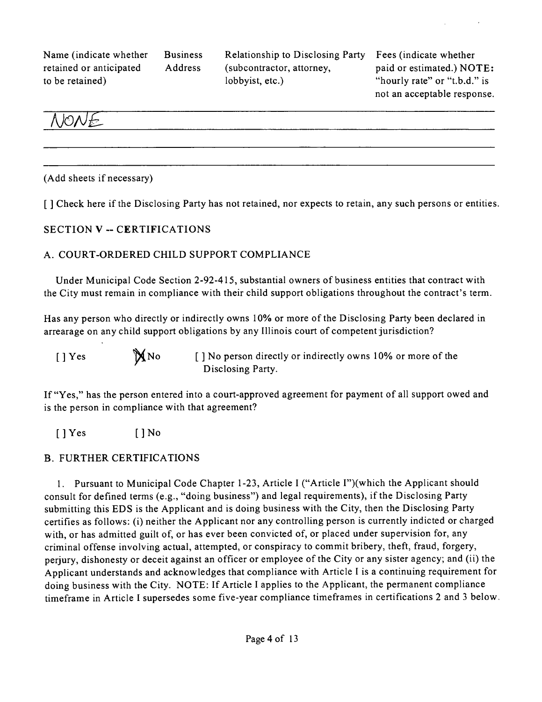Name (indicate whether Business retained or anticipated Address to be retained)

Relationship to Disclosing Party (subcontractor, attorney, lobbyist, etc.)

Fees (indicate whether paid or estimated.) NOTE: "hourly rate" or "t.b.d." is not an acceptable response.



(Add sheets if necessary)

**[ ] Check here if the Disclosing Party has not retained, nor expects to retain, any such persons or entities.** 

#### **SECTION V - CERTIFICATIONS**

#### A. COURT-ORDERED CHILD SUPPORT COMPLIANCE

Under Municipal Code Section 2-92-415, substantial owners of business entities that contract with the City must remain in compliance with their child support obligations throughout the contract's term.

Has any person who directly or indirectly owns 10% or more of the Disclosing Party been declared in arrearage on any child support obligations by any Illinois court of competent jurisdiction?

[ ] Yes  $\mathbb{N}$  No [ ] No person directly or indirectly owns 10% or more of the Disclosing Party.

If "Yes," has the person entered into a court-approved agreement for payment of all support owed and is the person in compliance with that agreement?

 $[$  ] Yes  $[$  ] No

#### B. FURTHER CERTIFICATIONS

1. Pursuant to Municipal Code Chapter 1-23, Article I ("Article I")(which the Applicant should consult for defined terms (e.g., "doing business") and legal requirements), if the Disclosing Party submitting this EDS is the Applicant and is doing business with the City, then the Disclosing Party certifies as follows: (i) neither the Applicant nor any controlling person is currently indicted or charged with, or has admitted guilt of, or has ever been convicted of, or placed under supervision for, any criminal offense involving actual, attempted, or conspiracy to commit bribery, theft, fraud, forgery, perjury, dishonesty or deceit against an officer or employee of the City or any sister agency; and (ii) the Applicant understands and acknowledges that compliance with Article I is a continuing requirement for doing business with the City. NOTE: If Article I applies to the Applicant, the permanent compliance timeframe in Article I supersedes some five-year compliance timeframes in certifications 2 and 3 below.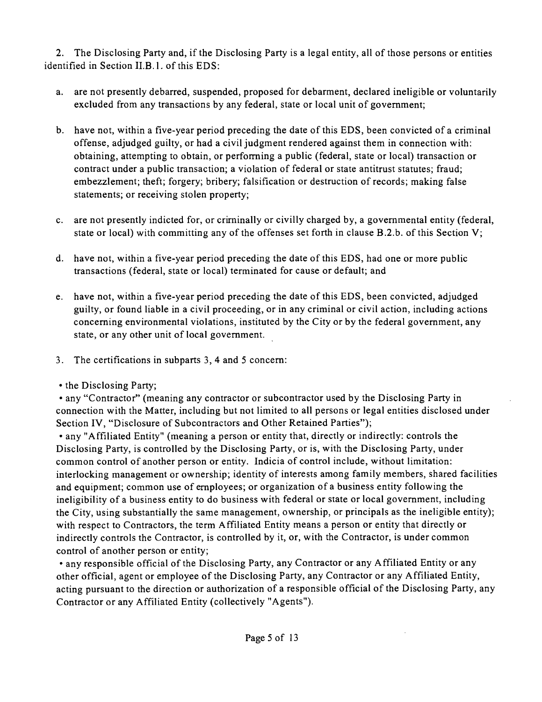2. The Disclosing Party and, if the Disclosing Party is a legal entity, all of those persons or entities identified in Section II.B.1. of this EDS:

- a. are not presently debarred, suspended, proposed for debarment, declared ineligible or voluntarily excluded from any transactions by any federal, state or local unit of govemment;
- b. have not, within a five-year period preceding the date of this EDS, been convicted of a criminal offense, adjudged guilty, or had a civil judgment rendered against them in connection with: obtaining, attempting to obtain, or performing a public (federal, state or local) transaction or contract under a public transaction; a violation of federal or state antitrust statutes; fraud; embezzlement; theft; forgery; bribery; falsification or destruction of records; making false statements; or receiving stolen property;
- c. are not presently indicted for, or criminally or civilly charged by, a govemmental entity (federal, state or local) with committing any of the offenses set forth in clause  $B.2.b.$  of this Section V;
- d. have not, within a five-year period preceding the date of this EDS, had one or more public transactions (federal, state or local) terminated for cause or default; and
- e. have not, within a five-year period preceding the date of this EDS, been convicted, adjudged guilty, or found liable in a civil proceeding, or in any criminal or civil action, including actions conceming environmental violations, instituted by the City or by the federal government, any state, or any other unit of local govemment.
- 3. The certifications in subparts 3, 4 and 5 concem:
- the Disclosing Party;

• any "Contractor" (meaning any contractor or subcontractor used by the Disclosing Party in connection with the Matter, including but not limited to all persons or legal entities disclosed under Section IV, "Disclosure of Subcontractors and Other Retained Parties");

• any "Affiliated Entity" (meaning a person or entity that, directly or indirectly: controls the Disclosing Party, is controlled by the Disclosing Party, or is, with the Disclosing Party, under common control of another person or entity. Indicia of control include, without limitation: interlocking management or ownership; identity of interests among family members, shared facilities and equipment; common use of employees; or organization of a business entity following the ineligibility of a business entity to do business with federal or state or local government, including the City, using substantially the same management, ownership, or principals as the ineligible entity); with respect to Contractors, the term Affiliated Entity means a person or entity that directly or indirectly controls the Contractor, is controlled by it, or, with the Contractor, is under common control of another person or entity;

• any responsible official of the Disclosing Party, any Contractor or any Affiliated Entity or any other official, agent or employee of the Disclosing Party, any Contractor or any Affiliated Entity, acting pursuant to the direction or authorization of a responsible official of the Disclosing Party, any Contractor or any Affiliated Entity (collectively "Agents").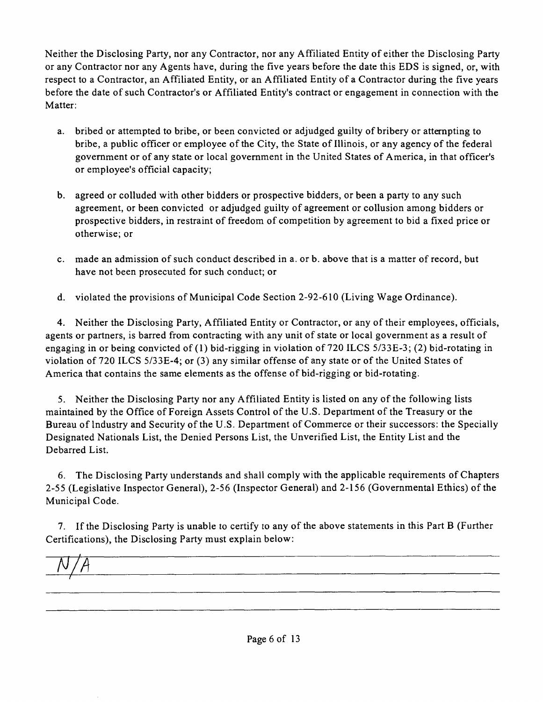Neither the Disclosing Party, nor any Contractor, nor any Affiliated Entity of either the Disclosing Party or any Contractor nor any Agents have, during the five years before the date this EDS is signed, or, with respect to a Contractor, an Affiliated Entity, or an Affiliated Entity of a Contractor during the five years before the date of such Contractor's or Affiliated Entity's contract or engagement in connection with the Matter:

- a. bribed or attempted to bribe, or been convicted or adjudged guilty of bribery or attempting to bribe, a public officer or employee ofthe City, the State of Illinois, or any agency of the federal govemment or of any state or local govemment in the United States of America, in that officer's or employee's official capacity;
- b. agreed or colluded with other bidders or prospective bidders, or been a party to any such agreement, or been convicted or adjudged guilty of agreement or collusion among bidders or prospective bidders, in restraint of freedom of competition by agreement to bid a fixed price or otherwise; or
- c. made an admission of such conduct described in a. or b. above that is a matter of record, but have not been prosecuted for such conduct; or
- d. violated the provisions of Municipal Code Section 2-92-610 (Living Wage Ordinance).

4. Neither the Disclosing Party, Affiliated Entity or Contractor, or any of their employees, officials, agents or partners, is barred from contracting with any unit of state or local government as a result of engaging in or being convicted of (1) bid-rigging in violation of 720 ILCS 5/33E-3; (2) bid-rotating in violation of 720 ILCS 5/33E-4; or (3) any similar offense of any state or of the United States of America that contains the same elements as the offense of bid-rigging or bid-rotating.

5. Neither the Disclosing Party nor any Affiliated Entity is listed on any of the following lists maintained by the Office of Foreign Assets Control of the U.S. Department ofthe Treasury or the Bureau of Industry and Security of the U.S. Department of Commerce or their successors: the Specially Designated Nationals List, the Denied Persons List, the Unverified List, the Entity List and the Debarred List.

6. The Disclosing Party understands and shall comply with the applicable requirements of Chapters 2-55 (Legislative Inspector General), 2-56 (Inspector General) and 2-156 (Governmental Ethics) of the Municipal Code.

7. If the Disclosing Party is unable to certify to any of the above statements in this Part B (Further Certifications), the Disclosing Party must explain below: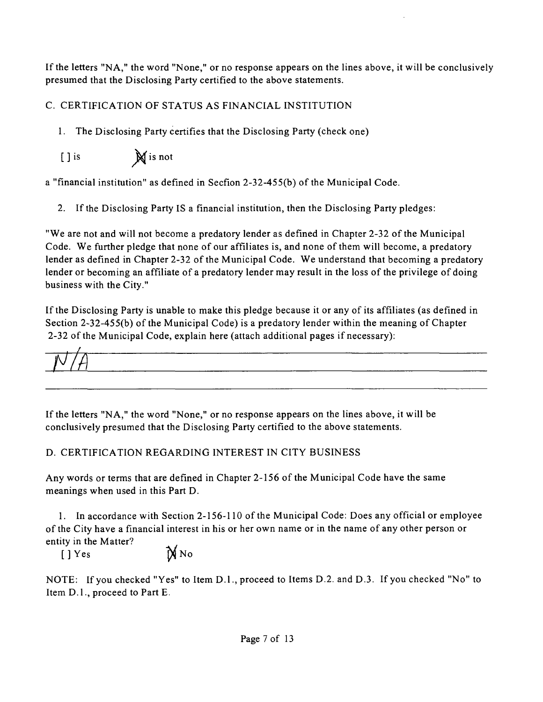If the letters "NA, " the word "None," or no response appears on the lines above, it will be conclusively presumed that the Disclosing Party certified to the above statements.

# C. CERTIFICATION OF STATUS AS FINANCIAL INSTITUTION

1. The Disclosing Party certifies that the Disclosing Party (check one)

[ ] is  $\mathbb{N}$  is not

a "financial institution" as defined in Secfion 2-32-455(b) of the Municipal Code.

2. If the Disclosing Party IS a financial institution, then the Disclosing Party pledges:

"We are not and will not become a predatory lender as defined in Chapter 2-32 of the Municipal Code. We further pledge that none of our affiliates is, and none of them will become, a predatory lender as defined in Chapter 2-32 of the Municipal Code. We understand that becoming a predatory lender or becoming an affiliate of a predatory lender may result in the loss of the privilege of doing business with the City."

If the Disclosing Party is unable to make this pledge because it or any of its affiliates (as defined in Section 2-32-455(b) of the Municipal Code) is a predatory lender within the meaning of Chapter 2-32 ofthe Municipal Code, explain here (attach additional pages if necessary):

If the letters "NA, " the word "None," or no response appears on the lines above, it will be conclusively presumed that the Disclosing Party certified to the above statements.

# D. CERTIFICATION REGARDING INTEREST IN CITY BUSINESS

Any words or terms that are defined in Chapter 2-156 of the Municipal Code have the same meanings when used in this Part D.

1. In accordance with Section 2-156-110 of the Municipal Code: Does any official or employee of the City have a financial interest in his or her own name or in the name of any other person or entity in the Matter?

 $[]$  Yes  $\mathbb{N}$  No

NOTE: If you checked "Yes" to Item D.l. , proceed to Items D.2. and D.3. If you checked "No" to Item D.l. , proceed to Part E.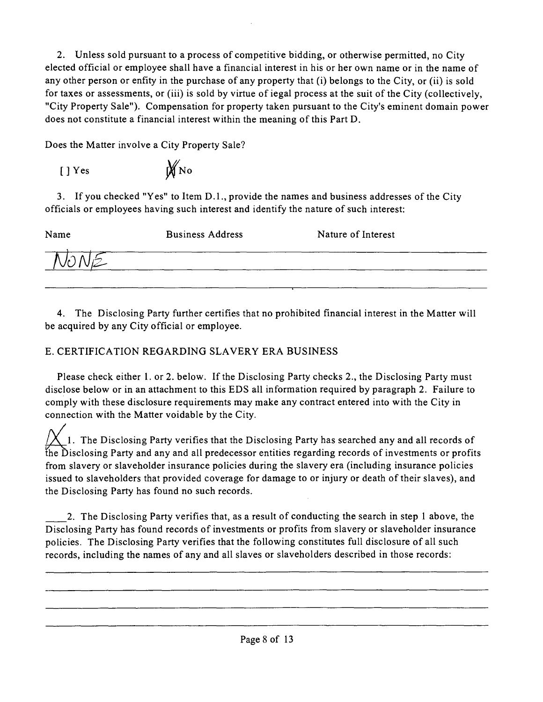2. Unless sold pursuant to a process of compefitive bidding, or otherwise permitted, no City elected official or employee shall have a financial interest in his or her own name or in the name of any other person or enfity in the purchase of any property that (i) belongs to the City, or (ii) is sold for taxes or assessments, or (iii) is sold by virtue of iegal process at the suit of the City (collectively, "City Property Sale"). Compensation for property taken pursuant to the City's eminent domain power does not constitute a financial interest within the meaning of this Part D.

Does the Matter involve a City Property Sale?

 $[ ]$  Yes  $\mathcal{W}_{\text{No}}$ 

3. If you checked "Yes" to Item D.1., provide the names and business addresses of the City officials or employees having such interest and identify the nature of such interest:

| Name | <b>Business Address</b> | Nature of Interest |
|------|-------------------------|--------------------|
|      |                         |                    |
|      |                         |                    |

4. The Disclosing Party further certifies that no prohibited financial interest in the Matter will be acquired by any City official or employee.

# E. CERTIFICATION REGARDING SLAVERY ERA BUSINESS

Please check either 1. or 2. below. If the Disclosing Party checks 2., the Disclosing Party must disclose below or in an attachment to this EDS all information required by paragraph 2. Failure to comply with these disclosure requirements may make any contract entered into with the City in connection with the Matter voidable by the City.

1. The Disclosing Party verifies that the Disclosing Party has searched any and all records of the Disclosing Party and any and all predecessor entifies regarding records of investments or profits from slavery or slaveholder insurance policies during the slavery era (including insurance policies issued to slaveholders that provided coverage for damage to or injury or death of their slaves), and the Disclosing Party has found no such records.

2. The Disclosing Party verifies that, as a result of conducting the search in step 1 above, the Disclosing Party has found records of investments or profits from slavery or slaveholder insurance policies. The Disclosing Party verifies that the following constitutes full disclosure of all such records, including the names of any and all slaves or slaveholders described in those records: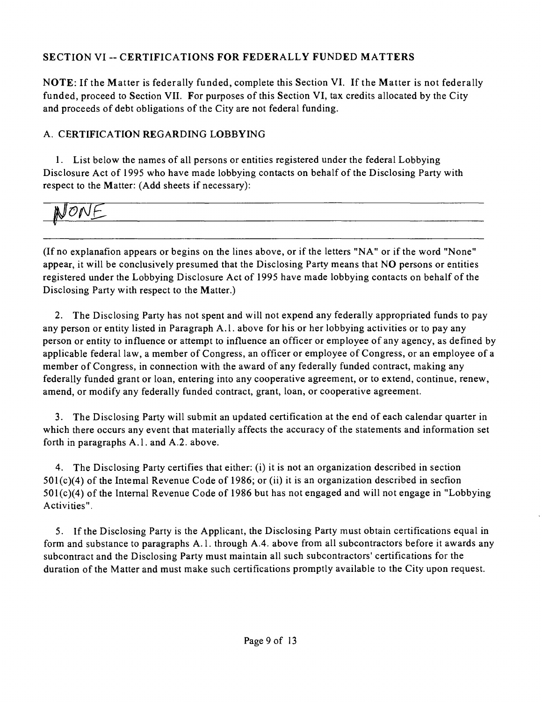# **SECTION VI ~ CERTIFICATIONS FOR FEDERALLY FUNDED MATTERS**

NOTE: If the Matter is federally funded, complete this Section VI. If the Matter is not federally funded, proceed to Section VII. For purposes of this Section VI, tax credits allocated by the City and proceeds of debt obligations of the City are not federal funding.

# A. CERTIFICATION REGARDING LOBBYING

1. List below the names of all persons or entities registered under the federal Lobbying Disclosure Act of 1995 who have made lobbying contacts on behalf of the Disclosing Party with respect to the Matter: (Add sheets if necessary):

# JONF.

(Ifno explanafion appears or begins on the lines above, or if the letters "NA" or if the word "None" appear, it will be conclusively presumed that the Disclosing Party means that NO persons or entities registered under the Lobbying Disclosure Act of 1995 have made lobbying contacts on behalf of the Disclosing Party with respect to the Matter.)

2. The Disclosing Party has not spent and will not expend any federally appropriated funds to pay any person or entity listed in Paragraph A.l . above for his or her lobbying activities or to pay any person or enfity to influence or attempt to influence an officer or employee of any agency, as defined by applicable federal law, a member of Congress, an officer or employee of Congress, or an employee of a member of Congress, in connection with the award of any federally funded contract, making any federally funded grant or loan, entering into any cooperative agreement, or to extend, continue, renew, amend, or modify any federally funded contract, grant, loan, or cooperative agreement.

3. The Disclosing Party will submit an updated certification at the end of each calendar quarter in which there occurs any event that materially affects the accuracy of the statements and information set forth in paragraphs A.1. and A.2. above.

4. The Disclosing Party certifies that either: (i) it is not an organization described in section  $501(c)(4)$  of the Intemal Revenue Code of 1986; or (ii) it is an organization described in secfion 501(c)(4) of the Intemal Revenue Code of 1986 but has not engaged and will not engage in "Lobbying Activities".

5. If the Disclosing Party is the Applicant, the Disclosing Party must obtain certifications equal in form and substance to paragraphs A.1. through A.4. above from all subcontractors before it awards any subcontract and the Disclosing Party must maintain all such subcontractors' certificafions for the duration of the Matter and must make such certifications promptly available to the City upon request.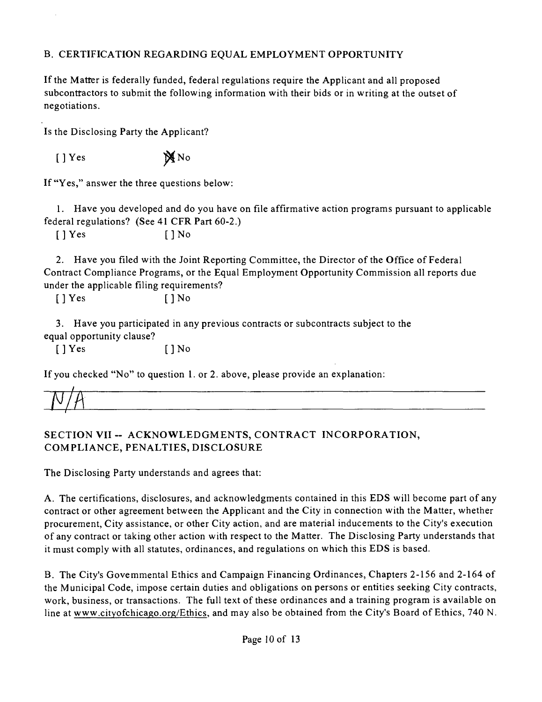## B. CERTIFICATION REGARDING EQUAL EMPLOYMENT OPPORTUNITY

Ifthe Matter is federally funded, federal regulafions require the Applicant and all proposed subconttactors to submit the following information with their bids or in writing at the outset of negotiations.

Is the Disclosing Party the Applicant?

 $[$  ] Yes  $\mathbb{X}$  No

If "Yes," answer the three questions below:

1. Have you developed and do you have on file affirmative action programs pursuant to applicable federal regulations? (See 41 CFR Part 60-2.)

[ ] Yes [ ] No

2. Have you filed with the Joint Reporting Committee, the Director of the Office of Federal Contract Compliance Programs, or the Equal Employment Opportunity Commission all reports due under the applicable filing requirements?

 $[$   $]$  Yes  $[$   $]$  No

3. Have you participated in any previous contracts or subcontracts subject to the equal opportunity clause?

 $[$  ] Yes  $[$  ] No

If you checked "No" to question 1. or 2. above, please provide an explanation:

# **SECTION VII ~ ACKNOWLEDGMENTS, CONTRACT INCORPORATION, COMPLIANCE, PENALTIES, DISCLOSURE**

The Disclosing Party understands and agrees that:

A. The certifications, disclosures, and acknowledgments contained in this EDS will become part of any contract or other agreement between the Applicant and the City in connection with the Matter, whether procurement, City assistance, or other City action, and are material inducements to the City's execution of any contract or taking other action with respect to the Matter. The Disclosing Party understands that it must comply with all statutes, ordinances, and regulations on which this EDS is based.

B. The City's Govemmental Ethics and Campaign Financing Ordinances, Chapters 2-156 and 2-164 of the Municipal Code, impose certain duties and obligations on persons or enfities seeking City contracts, work, business, or transactions. The full text of these ordinances and a training program is available on line at www.cityofchicago.org/Ethics, and may also be obtained from the City's Board of Ethics, 740 N.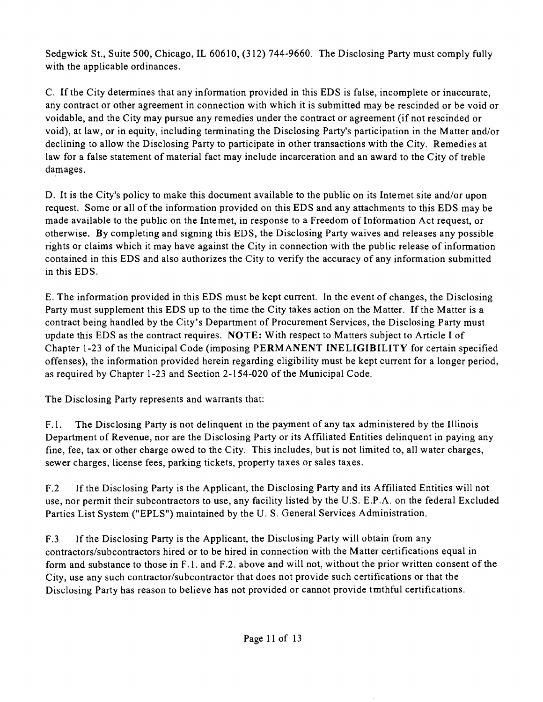Sedgwick St., Suite 500, Chicago, IL 60610, (312) 744-9660. The Disclosing Party must comply fully with the applicable ordinances.

C. If the City determines that any information provided in this EDS is false, incomplete or inaccurate, any contract or other agreement in connection with which it is submitted may be rescinded or be void or voidable, and the City may pursue any remedies under the contract or agreement (if not rescinded or void), at law, or in equity, including terminating the Disclosing Party's participation in the Matter and/or declining to allow the Disclosing Party to participate in other transactions with the City. Remedies at law for a false statement of material fact may include incarceration and an award to the City of treble damages.

D. It is the City's policy to make this document available to the public on its Intemet site and/or upon request. Some or all of the information provided on this EDS and any attachments to this EDS may be made available to the public on the Intemet, in response to a Freedom of Information Act request, or otherwise. By completing and signing this EDS, the Disclosing Party waives and releases any possible rights or claims which it may have against the City in connection with the public release of information contained in this EDS and also authorizes the City to verify the accuracy of any information submitted in this EDS.

E. The information provided in this EDS must be kept current. In the event of changes, the Disclosing Party must supplement this EDS up to the time the City takes action on the Matter. If the Matter is a contract being handled by the City's Department of Procurement Services, the Disclosing Party must update this EDS as the contract requires. NOTE: With respect to Matters subject to Article I of Chapter 1-23 of the Municipal Code (imposing PERMANENT INELIGIBILITY for certain specified offenses), the information provided herein regarding eligibility must be kept current for a longer period, as required by Chapter 1-23 and Section 2-154-020 of the Municipal Code.

The Disclosing Party represents and warrants that:

F.1. The Disclosing Party is not delinquent in the payment of any tax administered by the Illinois Department of Revenue, nor are the Disclosing Party or its Affiliated Entities delinquent in paying any fine, fee, tax or other charge owed to the City. This includes, but is not limited to, all water charges, sewer charges, license fees, parking tickets, property taxes or sales taxes.

F.2 If the Disclosing Party is the Applicant, the Disclosing Party and its Affiliated Entities will not use, nor permit their subcontractors to use, any facility listed by the U.S. E.P.A. on the federal Excluded Parties List System ("EPLS") maintained by the U. S. General Services Administration.

F.3 If the Disclosing Party is the Applicant, the Disclosing Party will obtain from any contractors/subcontractors hired or to be hired in connection with the Matter certifications equal in form and substance to those in F.1. and F.2. above and will not, without the prior written consent of the City, use any such contractor/subcontractor that does not provide such certifications or that the Disclosing Party has reason to believe has not provided or cannot provide tmthful certifications.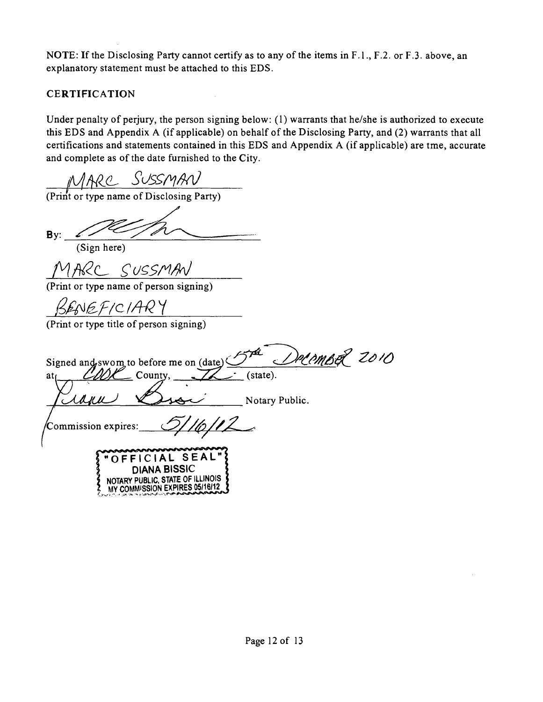NOTE: If the Disclosing Party cannot certify as to any of the items in F.1., F.2. or F.3. above, an explanatory statement must be attached to this EDS.

# **CERTIFICATION**

Under penalty of perjury, the person signing below: (1) warrants that he/she is authorized to execute this EDS and Appendix A (if applicable) on behalf of the Disclosing Party, and (2) warrants that all certifications and statements contained in this EDS and Appendix A (if applicable) are tme, accurate and complete as of the date furnished to the City.

 $MARC$  SUSSMAN<br>(Print or type name of Disclosing Party)

 $By$ :

(Sign here)

MARC SUSSMAN

(Print or type name of person signing)

BENEFICIARY

(Print or type title of person signing)

December 2010 Signed and swom to before me on  $(data)$  $\mathfrak{a}_{\mathfrak{l}}$  County,  $\mathbb{Z}$  (state). Notary Public. Commission expires: **"OFFICIAL SEAL " DIANA BISSIC**  NOTARY PUBLIC, STATE OF ILLINOIS COMMISSION EXPIRES 05/16/12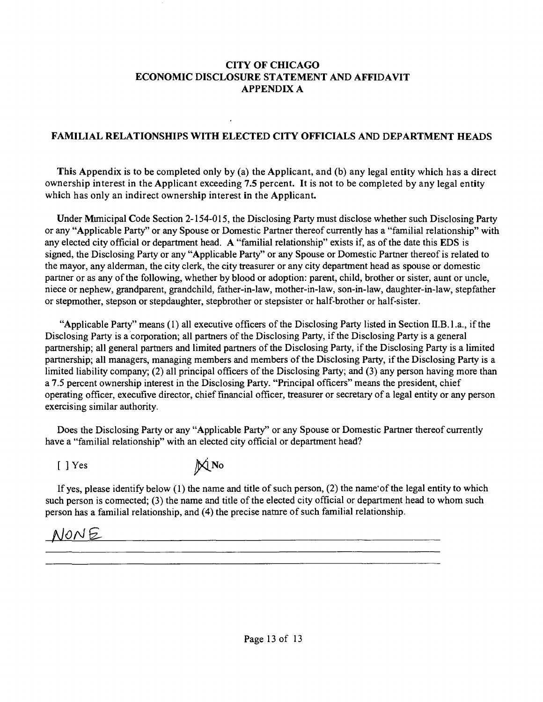#### **CITY OF CHICAGO ECONOMIC DISCLOSURE STATEMENT AND AFFIDAVIT APPENDIX A**

### **FAMILIAL RELATIONSHIPS WITH ELECTED CITY OFFICIALS AND DEPARTMENT HEADS**

**This Appendix is to be completed only by (a) the Applicant, and (b) any legal entity which has a direct ownership interest in the Applicant exceeding 7.5 percent. It is not to be completed by any legal entity which has only an indirect ownership interest in the Applicant.** 

Under Mimicipal Code Section 2-154-015, the Disclosing Party must disclose whether such Disclosing Party or any "Applicable Party" or any Spouse or Domestic Partner thereof currently has a "familial relationship" with any elected city official or department head. A "familial relationship" exists if, as of the date this EDS is signed, the Disclosing Party or any "Applicable Party" or any Spouse or Domestic Partner thereof is related to the mayor, any alderman, the city clerk, the city tteasurer or any city department head as spouse or domestic partner or as any of the following, whether by blood or adoption: parent, child, brother or sister, aunt or uncle, niece or nephew, grandparent, grandchild, father-in-law, mother-in-law, son-in-law, daughter-in-law, stepfather or stepmother, stepson or stepdaughter, stepbrother or stepsister or half-brother or half-sister.

"Applicable Party" means  $(1)$  all executive officers of the Disclosing Party listed in Section II.B.1.a., if the Disclosing Party is a corporation; all partners of the Disclosing Party, if the Disclosing Party is a general partnership; all general partners and limited partners of the Disclosing Party, if the Disclosing Party is a limited partnership; all managers, managing members and members of the Disclosing Party, if the Disclosing Party is a limited liability company; (2) all principal officers of the Disclosing Party; and (3) any person having more than a 7.5 percent ownership interest in the Disclosing Party. "Principal officers" means the president, chief operating officer, execufive director, chief financial officer, treasurer or secretary of a legal entity or any person exercising similar authority.

Does the Disclosing Party or any "Applicable Party" or any Spouse or Domestic Partner thereof currently have a "familial relationship" with an elected city official or department head?

 $[ ]$  Yes  $\mathbb{M}$ No

If yes, please idenfify below (1) the name and title of such person, (2) the name'of the legal entity to which such person is connected; (3) the name and title of the elected city official or department head to whom such person has a familial relationship, and (4) the precise natare of such familial relationship.

# NONE MONE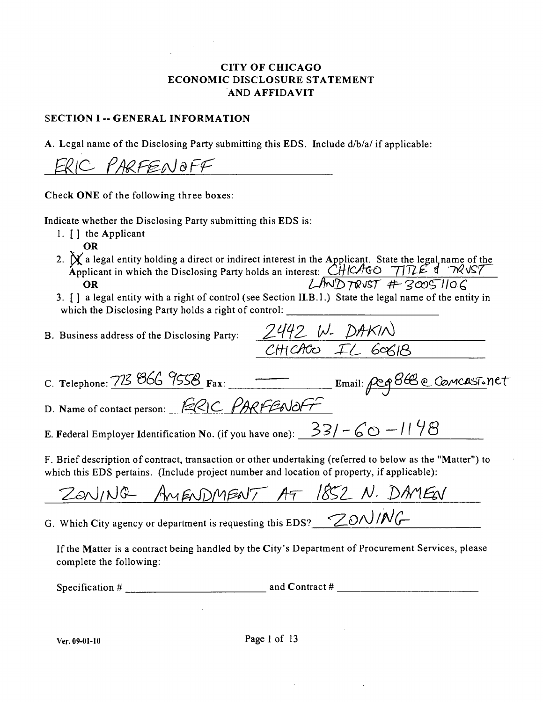### CITY OF CHICAGO ECONOMIC DISCLOSURE STATEMENT A ND AFFIDAVIT

#### **SECTION I -- GENERAL INFORMATION**

A. Legal name of the Disclosing Party submitting this EDS. Include d/b/a/ if applicable:

ERIC PARFENOFF

Check ONE of the following three boxes:

Indicate whether the Disclosing Party submitting this EDS is:

- 1.  $\lceil \cdot \rceil$  the Applicant
	- OR
- 2.  $\chi$  a legal entity holding a direct or indirect interest in the Applicant. State the legal name of the Applicant in which the Disclosing Party holds an interest:  $CH/C/TGO$   $711LE$  &  $7WVS$ **OR** *OR CHUDTRUST ASSE>F iqual entity with a right of control (see Section II.B.1.)* **State the legal name of the entity in**
- which the Disclosing Party holds a right of control: which the Disclosing  $P$

B. Business address of the Disclosing Party:

| C. Telephone: 773 866 9558 Fax: |  |
|---------------------------------|--|
|---------------------------------|--|

D. Name of contact person: ERIC PARFENOFF

E. Federal Employer Identification No. (if you have one):  $\frac{331}{60} - 60 - 1198$ 

F. Brief description of contract, ttansaction or other undertaking (referred to below as the "Matter") to which this EDS pertains. (Include project number and location of property, if applicable):

AMENDMENT AT 1852 N. DAMEN ZONING

G. Which City agency or department is requesting this EDS?  $\bigotimes$ ON/NG

If the Matter is a contract being handled by the City's Department of Procurement Services, please complete the following:

Specification  $\#$  and Contract  $\#$ 

*C. Telephone: Fax: Email: <^ Q2)A?CflSTo Y) tT*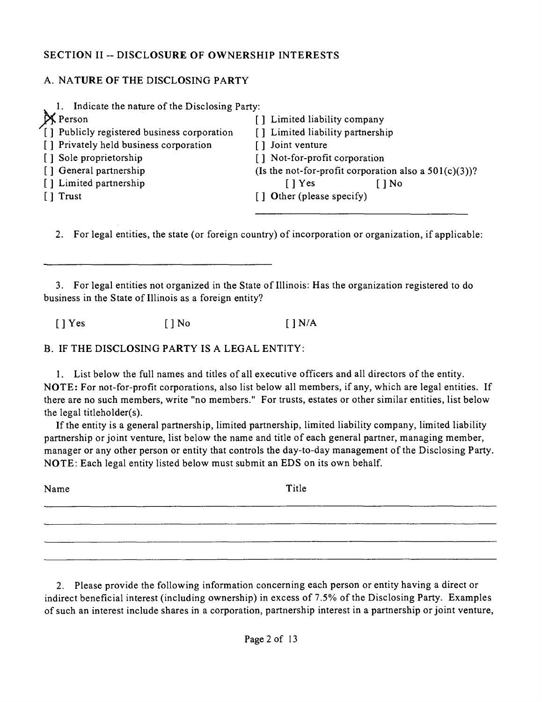## **SECTION II ~ DISCLOSURE OF OWNERSHIP INTERESTS**

## A. NATURE OF THE DISCLOSING PARTY

| Indicate the nature of the Disclosing Party: |                                                          |
|----------------------------------------------|----------------------------------------------------------|
| X Person                                     | [] Limited liability company                             |
| [1] Publicly registered business corporation | [] Limited liability partnership                         |
| [] Privately held business corporation       | Joint venture<br>$\mathsf{L}$                            |
| [] Sole proprietorship                       | Not-for-profit corporation<br>ΓI                         |
| [] General partnership                       | (Is the not-for-profit corporation also a $501(c)(3)$ )? |
| [] Limited partnership                       | $\lceil$   Yes<br>1 No                                   |
| [ ] Trust                                    | [] Other (please specify)                                |
|                                              |                                                          |

2. For legal entities, the state (or foreign country) of incorporation or organization, if applicable:

3. For legal entities not organized in the State of Illinois: Has the organization registered to do business in the State of Illinois as a foreign entity?

 $[ ]$  Yes  $[ ]$  No  $[ ]$  N/A

B. IF THE DISCLOSING PARTY IS A LEGAL ENTITY:

1. List below the full names and titles of all executive officers and all directors ofthe entity. NOTE: For not-for-profit corporations, also list below all members, if any, which are legal entities. If there are no such members, write "no members." For trusts, estates or other similar entities, list below the legal titleholder(s).

If the entity is a general partnership, limited partnership, limited liability company, limited liability partnership or joint venture, list below the name and title of each general partner, managing member, manager or any other person or entity that controls the day-to-day management of the Disclosing Party. NOTE: Each legal entity listed below must submit an EDS on its own behalf.

| Name | Title |
|------|-------|
|      |       |
|      |       |
|      |       |

2. Please provide the following information concerning each person or entity having a direct or indirect beneficial interest (including ownership) in excess of 7.5% of the Disclosing Party. Examples of such an interest include shares in a corporation, partnership interest in a partnership or joint venture,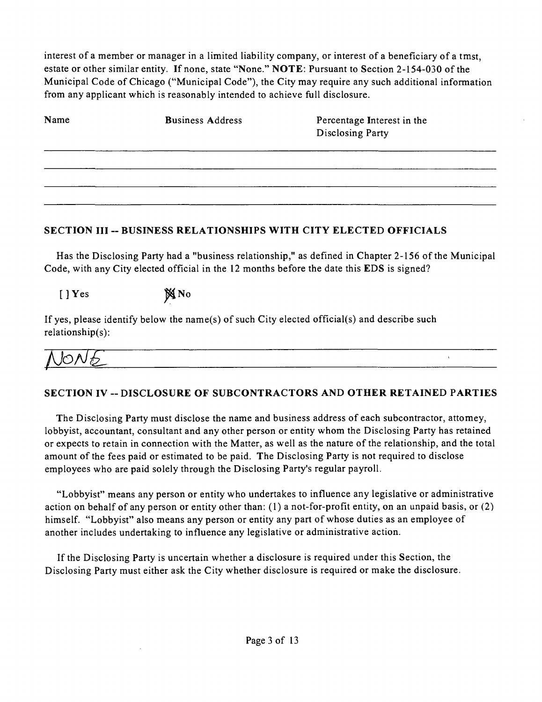interest of a member or manager in a limited liability company, or interest of a beneficiary of a tmst, estate or other similar entity. If none, state "None." NOTE: Pursuant to Section 2-154-030 of the Municipal Code of Chicago ("Municipal Code"), the City may require any such additional information from any applicant which is reasonably intended to achieve full disclosure.

| Name | <b>Business Address</b> | Percentage Interest in the<br>Disclosing Party |
|------|-------------------------|------------------------------------------------|
|      |                         |                                                |
|      |                         |                                                |
|      |                         |                                                |

### SECTION III -- BUSINESS RELATIONSHIPS WITH CITY ELECTED OFFICIALS

Has the Disclosing Party had a "business relationship," as defined in Chapter 2-156 of the Municipal Code, with any City elected official in the 12 months before the date this EDS is signed?

 $[$  ] Yes  $\mathbb{N}$  No

If yes, please identify below the name(s) of such City elected official(s) and describe such relationship(s):

 $\mathbf{r}$ 

## SECTION IV -- DISCLOSURE OF SUBCONTRACTORS AND OTHER RETAINED PARTIES

The Disclosing Party must disclose the name and business address of each subcontractor, attomey, lobbyist, accountant, consultant and any other person or entity whom the Disclosing Party has retained or expects to retain in connection with the Matter, as well as the nature of the relationship, and the total amount of the fees paid or estimated to be paid. The Disclosing Party is not required to disclose employees who are paid solely through the Disclosing Party's regular payroll.

"Lobbyist" means any person or entity who undertakes to influence any legislative or administrative action on behalf of any person or entity other than: (1) a not-for-profit enfity, on an unpaid basis, or (2) himself. "Lobbyist" also means any person or entity any part of whose duties as an employee of another includes undertaking to influence any legislative or administrative action.

Ifthe Disclosing Party is uncertain whether a disclosure is required under this Section, the Disclosing Party must either ask the City whether disclosure is required or make the disclosure.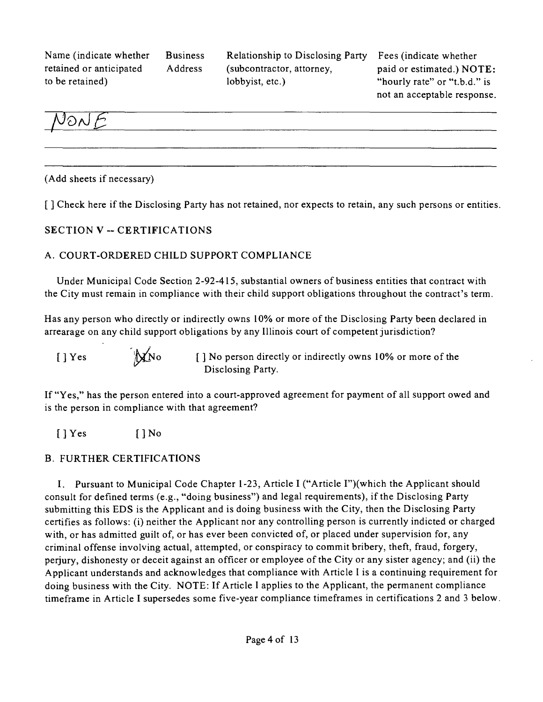Name (indicate whether Business retained or anticipated Address to be retained)

Relationship to Disclosing Party (subcontractor, attorney, lobbyist, etc.)

Fees (indicate whether paid or estimated.) NOTE: "hourly rate" or "t.b.d." is not an acceptable response.



(Add sheets if necessary)

**[ ] Check here if the Disclosing Party has not retained, nor expects to retain, any such persons or entities.** 

### **SECTION V ~ CERTIFICATIONS**

### A. COURT-ORDERED CHILD SUPPORT COMPLIANCE

Under Municipal Code Section 2-92-415, substantial owners of business entities that contract with the City must remain in compliance with their child support obligations throughout the contract's term.

Has any person who directly or indirectly owns 10% or more of the Disclosing Party been declared in arrearage on any child support obligations by any Illinois court of competent jurisdiction?

 $[ ]$  Yes indirectly or indirectly owns 10% or more of the Disclosing Party.

If "Yes," has the person entered into a court-approved agreement for payment of all support owed and is the person in compliance with that agreement?

[ ] Yes [ ] No

#### B. FURTHER CERTIFICATIONS

I. Pursuant to Municipal Code Chapter 1-23, Article I ("Article I")(which the Applicant should consult for defined terms (e.g., "doing business") and legal requirements), if the Disclosing Party submitting this EDS is the Applicant and is doing business with the City, then the Disclosing Party certifies as follows: (i) neither the Applicant nor any controlling person is currently indicted or charged with, or has admitted guilt of, or has ever been convicted of, or placed under supervision for, any criminal offense involving actual, attempted, or conspiracy to commit bribery, theft, fraud, forgery, perjury, dishonesty or deceit against an officer or employee ofthe City or any sister agency; and (ii) the Applicant understands and acknowledges that compliance with Article I is a continuing requirement for doing business with the City. NOTE: If Article I applies to the Applicant, the permanent compliance timeframe in Article I supersedes some five-year compliance timeframes in certifications 2 and 3 below.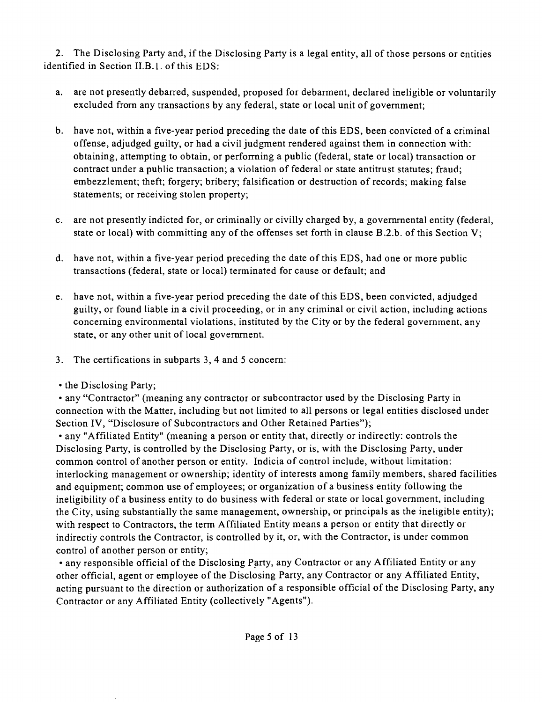2. The Disclosing Party and, ifthe Disclosing Party is a legal entity, all of those persons or entities identified in Section II.B.l. of this EDS:

- a. are not presently debarred, suspended, proposed for debarment, declared ineligible or voluntarily excluded from any transactions by any federal, state or local unit of govemment;
- b. have not, within a five-year period preceding the date of this EDS, been convicted of a criminal offense, adjudged guilty, or had a civil judgment rendered against them in connection with: obtaining, attempting to obtain, or performing a public (federal, state or local) transaction or contract under a public transaction; a violation of federal or state antitrust statates; fraud; embezzlement; theft; forgery; bribery; falsification or destruction of records; making false statements; or receiving stolen property;
- c. are not presently indicted for, or criminally or civilly charged by, a govemmental entity (federal, state or local) with committing any of the offenses set forth in clause B.2.b. of this Section V;
- d. have not, within a five-year period preceding the date of this EDS, had one or more public transactions (federal, state or local) terminated for cause or default; and
- e. have not, within a five-year period preceding the date ofthis EDS, been convicted, adjudged guilty, or found liable in a civil proceeding, or in any criminal or civil action, including actions conceming environmental violations, instituted by the City or by the federal government, any state, or any other unit of local govemment.
- 3. The certifications in subparts 3, 4 and 5 concem:
- the Disclosing Party;

• any "Contractor" (meaning any contractor or subcontractor used by the Disclosing Party in connection with the Matter, including but not limited to all persons or legal entities disclosed under Section IV, "Disclosure of Subcontractors and Other Retained Parties");

• any "Affiliated Entity" (meaning a person or entity that, directly or indirectly: controls the Disclosing Party, is controlled by the Disclosing Party, or is, with the Disclosing Party, under common control of another person or entity. Indicia of control include, without limitation: interlocking management or ownership; identity of interests among family members, shared facilities and equipment; common use of employees; or organization of a business entity following the ineligibility of a business enfity to do business with federal or state or local government, including the City, using substantially the same management, ownership, or principals as the ineligible entity); with respect to Contractors, the term Affiliated Entity means a person or entity that directly or indirectiy controls the Contractor, is controlled by it, or, with the Contractor, is under common control of another person or entity;

• any responsible official of the Disclosing Party, any Contractor or any Affiliated Entity or any other official, agent or employee of the Disclosing Party, any Contractor or any Affiliated Enfity, acting pursuant to the direction or authorization of a responsible official of the Disclosing Party, any Contractor or any Affiliated Entity (collectively "Agents").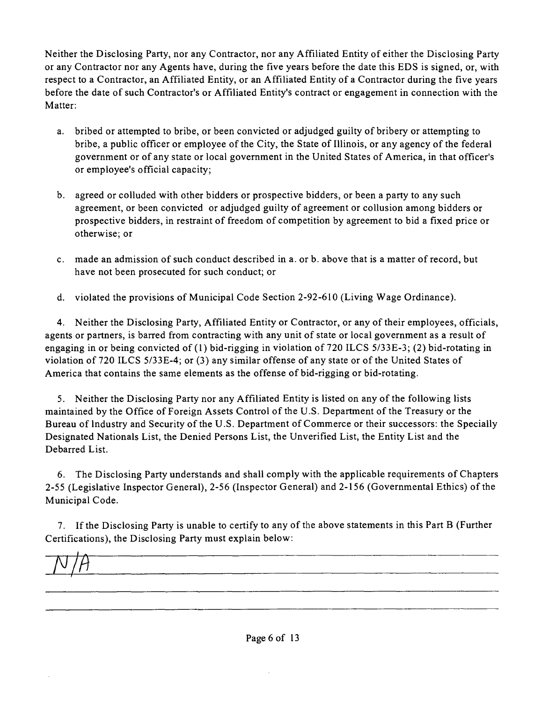Neither the Disclosing Party, nor any Contractor, nor any Affiliated Entity of either the Disclosing Party or any Contractor nor any Agents have, during the five years before the date this EDS is signed, or, with respect to a Contractor, an Affiliated Entity, or an Affiliated Entity of a Contractor during the five years before the date of such Contractor's or Affiliated Entity's contract or engagement in connection with the Matter:

- a. bribed or attempted to bribe, or been convicted or adjudged guilty of bribery or attempting to bribe, a public officer or employee of the City, the State of Illinois, or any agency of the federal government or ofany state or local govemment in the United States of America, in that officer's or employee's official capacity;
- b. agreed or colluded with other bidders or prospective bidders, or been a party to any such agreement, or been convicted or adjudged guilty of agreement or collusion among bidders or prospective bidders, in restraint of freedom of competition by agreement to bid a fixed price or otherwise; or
- c. made an admission of such conduct described in a. or b. above that is a matter of record, but have not been prosecuted for such conduct; or
- d. violated the provisions of Municipal Code Section 2-92-610 (Living Wage Ordinance).

4. Neither the Disclosing Party, Affiliated Entity or Contractor, or any of their employees, officials, agents or partners, is barted from contracting with any unit of state or local government as a result of engaging in or being convicted of (1) bid-rigging in violation of 720 ILCS 5/33E-3; (2) bid-rotating in violation of 720 ILCS 5/33E-4; or (3) any similar offense of any state or of the United States of America that contains the same elements as the offense of bid-rigging or bid-rotating.

5. Neither the Disclosing Party nor any Affiliated Entity is listed on any of the following lists maintained by the Office of Foreign Assets Control of the U.S. Department of the Treasury or the Bureau oflndustry and Security of the U.S, Department of Commerce or their successors: the Specially Designated Nationals List, the Denied Persons List, the Unverified List, the Entity List and the Debarred List.

6. The Disclosing Party understands and shall comply with the applicable requirements of Chapters 2-55 (Legislative Inspector General), 2-56 (Inspector General) and 2-156 (Governmental Ethics) of the Municipal Code.

7. If the Disclosing Party is unable to certify to any of the above statements in this Part B (Further Certifications), the Disclosing Party must explain below:

 $N/A$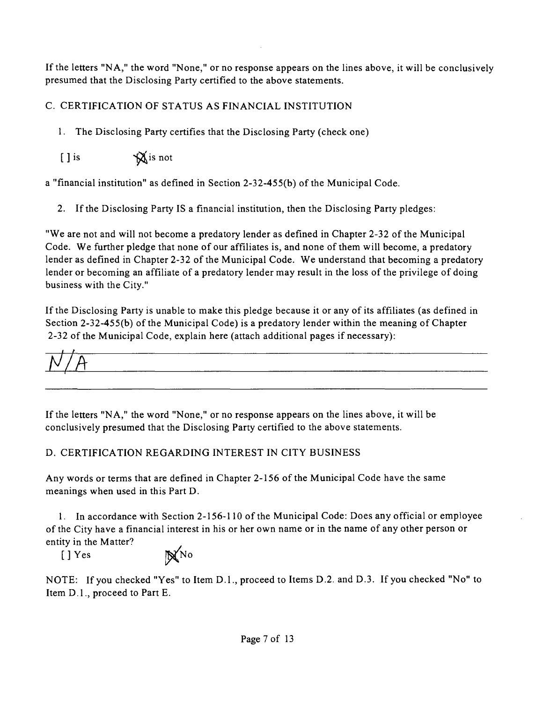If the letters "NA," the word "None," or no response appears on the lines above, it will be conclusively presumed that the Disclosing Party certified to the above statements.

# C. CERTIFICATION OF STATUS AS FINANCIAL INSTITUTION

1. The Disclosing Party certifies that the Disclosing Party (check one)

 $\iint$  is  $\mathbf{\hat{X}}$  is not

a "financial institution" as defined in Section 2-32-455(b) of the Municipal Code.

2. If the Disclosing Party IS a financial institution, then the Disclosing Party pledges:

"We are not and will not become a predatory lender as defined in Chapter 2-32 of the Municipal Code. We further pledge that none of our affiliates is, and none of them will become, a predatory lender as defined in Chapter 2-32 of the Municipal Code. We understand that becoming a predatory lender or becoming an affiliate of a predatory lender may result in the loss of the privilege of doing business with the City."

If the Disclosing Party is unable to make this pledge because it or any of its affiliates (as defined in Section 2-32-455(b) of the Municipal Code) is a predatory lender within the meaning of Chapter 2-32 of the Municipal Code, explain here (attach additional pages if necessary):

 $\frac{N}{A}$ 

If the letters "NA, " the word "None," or no response appears on the lines above, it will be conclusively presumed that the Disclosing Party certified to the above statements.

## D. CERTIFICATION REGARDING INTEREST IN CITY BUSINESS

Any words or terms that are defined in Chapter 2-156 of the Municipal Code have the same meanings when used in this Part D.

1. In accordance with Section 2-156-110 of the Municipal Code: Does any official or employee of the City have a financial interest in his or her own name or in the name of any other person or entity in the Matter?

 $[ ]$  Yes  $\mathbb{N}$ No

NOTE: If you checked "Yes" to Item D.l. , proceed to Items D.2. and D.3. If you checked "No" to Item D.l. , proceed to Part E.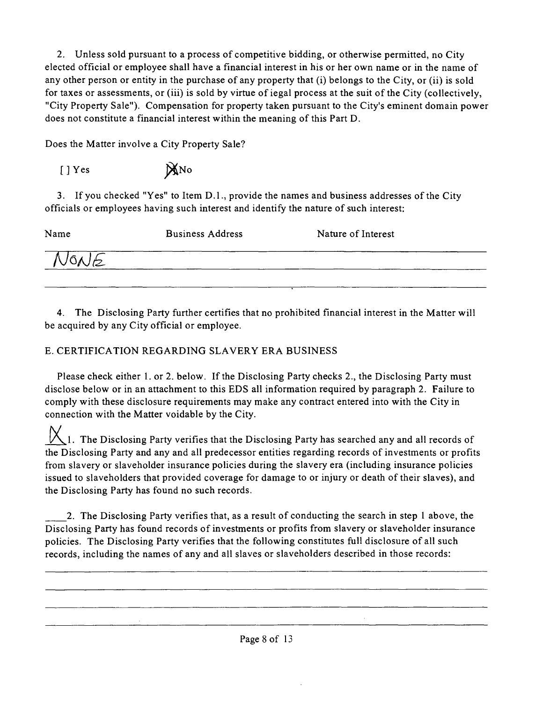2. Unless sold pursuant to a process of competitive bidding, or otherwise permitted, no City elected official or employee shall have a financial interest in his or her own name or in the name of any other person or entity in the purchase of any property that (i) belongs to the City, or (ii) is sold for taxes or assessments, or (iii) is sold by virtue of iegal process at the suit of the City (collectively, "City Property Sale"). Compensation for property taken pursuant to the City's eminent domain power does not constitute a financial interest within the meaning of this Part D.

Does the Matter involve a City Property Sale?

 $[ ]$  Yes  $\mathbb{X}$ No

3. If you checked "Yes" to Item D.1., provide the names and business addresses of the City officials or employees having such interest and identify the natare of such interest:

| Name | <b>Business Address</b> | Nature of Interest |
|------|-------------------------|--------------------|
| NONE |                         |                    |
|      |                         |                    |

4. The Disclosing Party further certifies that no prohibited financial interest in the Matter will be acquired by any City official or employee.

# E. CERTIFICATION REGARDING SLAVERY ERA BUSINESS

Please check either 1. or 2. below. If the Disclosing Party checks 2., the Disclosing Party must disclose below or in an attachment to this EDS all information required by paragraph 2. Failure to comply with these disclosure requirements may make any contract entered into with the City in connection with the Matter voidable by the City.

1. The Disclosing Party verifies that the Disclosing Party has searched any and all records of the Disclosing Party and any and all predecessor entities regarding records of investments or profits from slavery or slaveholder insurance policies during the slavery era (including insurance policies issued to slaveholders that provided coverage for damage to or injury or death of their slaves), and the Disclosing Party has found no such records.

2. The Disclosing Party verifies that, as a result of conducting the search in step 1 above, the Disclosing Party has found records of investments or profits from slavery or slaveholder insurance policies. The Disclosing Party verifies that the following constitutes full disclosure of all such records, including the names of any and all slaves or slaveholders described in those records: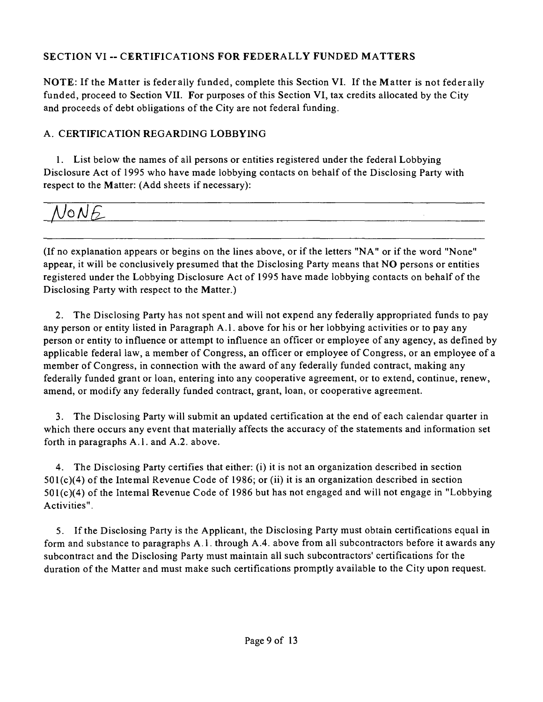# **SECTION VI ~ CERTIFICATIONS FOR FEDERALLY FUNDED MATTERS**

NOTE: If the Matter is federally funded, complete this Section VI. If the Matter is not federally funded, proceed to Section VII. For purposes of this Section VI, tax credits allocated by the City and proceeds of debt obligations of the City are not federal funding.

# A. CERTIFICATION REGARDING LOBBYING

1. List below the names of all persons or entities registered under the federal Lobbying Disclosure Act of 1995 who have made lobbying contacts on behalf of the Disclosing Party with respect to the Matter: (Add sheets if necessary):

# VONE\_

(If no explanation appears or begins on the lines above, or if the letters "NA" or if the word "None" appear, it will be conclusively presumed that the Disclosing Party means that NO persons or entities registered under the Lobbying Disclosure Act of 1995 have made lobbying contacts on behalf of the Disclosing Party with respect to the Matter.)

2. The Disclosing Party has not spent and will not expend any federally appropriated funds to pay any person or entity listed in Paragraph A.l . above for his or her lobbying activities or to pay any person or entity to influence or attempt to influence an officer or employee ofany agency, as defined by applicable federal law, a member of Congress, an officer or employee of Congress, or an employee of a member of Congress, in connection with the award of any federally funded contract, making any federally funded grant or loan, entering into any cooperative agreement, or to extend, continue, renew, amend, or modify any federally funded contract, grant, loan, or cooperative agreement.

3. The Disclosing Party will submit an updated certification at the end of each calendar quarter in which there occurs any event that materially affects the accuracy of the statements and information set forth in paragraphs A.l . and A.2. above.

4. The Disclosing Party certifies that either: (i) it is not an organization described in section 501(c)(4) of the Intemal Revenue Code of 1986; or (ii) it is an organization described in section 501(c)(4) of the Intemal Revenue Code of 1986 but has not engaged and will not engage in "Lobbying Activities".

5. If the Disclosing Party is the Applicant, the Disclosing Party must obtain certifications equal in form and substance to paragraphs A.l . through A.4. above from all subcontractors before it awards any subcontract and the Disclosing Party must maintain all such subcontractors' certifications for the duration of the Matter and must make such certifications promptly available to the City upon request.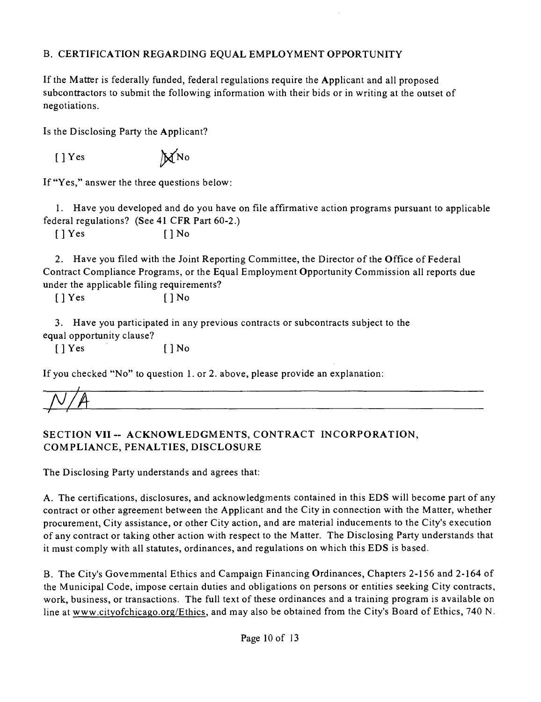# B. CERTIFICATION REGARDING EQUAL EMPLOYMENT OPPORTUNITY

If the Matter is federally funded, federal regulations require the Applicant and all proposed subconttactors to submit the following information with their bids or in writing at the outset of negotiations.

Is the Disclosing Party the Applicant?

 $[ ] Yes$   $]\mathcal{M}^{No}$ 

If "Yes," answer the three quesfions below:

1. Have you developed and do you have on file affirmative action programs pursuant to applicable federal regulations? (See 41 CFR Part 60-2.)

 $[$   $]$   $Y$ es  $[$   $]$   $N$ o

2. Have you filed with the Joint Reporting Committee, the Director of the Office of Federal Contract Compliance Programs, or the Equal Employment Opportunity Commission all reports due under the applicable filing requirements?

 $[ ] Yes$   $[] No$ 

3. Have you participated in any previous contracts or subcontracts subject to the equal opportanity clause?

 $[$  | Yes  $[$  | No

If you checked "No" to question 1. or 2. above, please provide an explanation:

# SECTION VII -- ACKNOWLEDGMENTS, CONTRACT INCORPORATION, **COMPLIANCE, PENALTIES, DISCLOSURE**

The Disclosing Party understands and agrees that:

A. The certifications, disclosures, and acknowledgments contained in this EDS will become part of any contract or other agreement between the Applicant and the City in connection with the Matter, whether procurement. City assistance, or other City action, and are material inducements to the City's execution of any contract or taking other action with respect to the Matter. The Disclosing Party understands that it must comply with all statutes, ordinances, and regulations on which this EDS is based.

B. The City's Govemmental Ethics and Campaign Financing Ordinances, Chapters 2-156 and 2-164 of the Municipal Code, impose certain duties and obligations on persons or entities seeking City contracts, work, business, or transactions. The full text of these ordinances and a training program is available on line at www.cityofchicago.org/Ethics, and may also be obtained from the City's Board of Ethics, 740 N.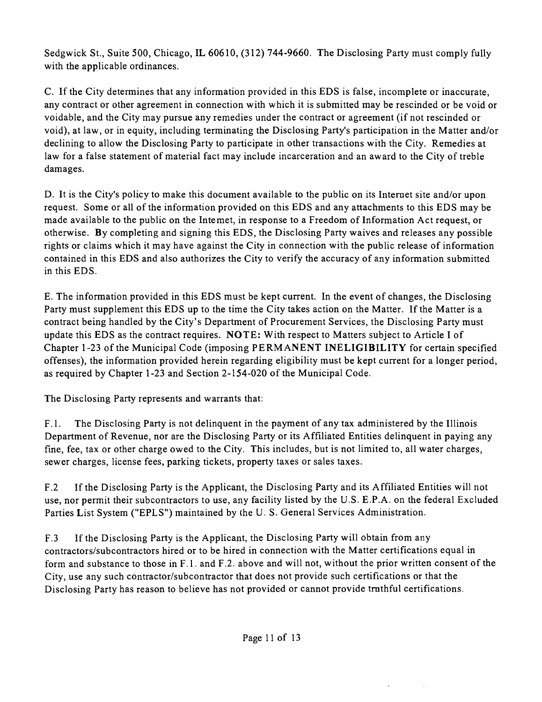Sedgwick St., Suite 500, Chicago, IL 60610, (312) 744-9660. The Disclosing Party must comply fully with the applicable ordinances.

C. Ifthe City determines that any information provided in this EDS is false, incomplete or inaccurate, any contract or other agreement in connection with which it is submitted may be rescinded or be void or voidable, and the City may pursue any remedies under the contract or agreement (if not rescinded or void), at law, or in equity, including terminating the Disclosing Party's participation in the Matter and/or declining to allow the Disclosing Party to participate in other transactions with the City. Remedies at law for a false statement of material fact may include incarceration and an award to the City of treble damages.

D. It is the City's policy to make this document available to the public on its Intemet site and/or upon request. Some or all of the information provided on this EDS and any attachments to this EDS may be made available to the public on the Intemet, in response to a Freedom of Information Act request, or otherwise. By completing and signing this EDS, the Disclosing Party waives and releases any possible rights or claims which it may have against the City in connection with the public release of informafion contained in this EDS and also authorizes the City to verify the accuracy of any information submitted in this EDS.

E. The information provided in this EDS must be kept current. In the event of changes, the Disclosing Party must supplement this EDS up to the time the City takes action on the Matter. If the Matter is a contract being handled by the City's Department of Procurement Services, the Disclosing Party must update this EDS as the contract requires. NOTE: With respect to Matters subject to Article I of Chapter 1-23 of the Municipal Code (imposing PERMANENT INELIGIBILITY for certain specified offenses), the information provided herein regarding eligibility must be kept current for a longer period, as required by Chapter 1-23 and Section 2-154-020 of the Municipal Code.

The Disclosing Party represents and warrants that:

F.1. The Disclosing Party is not delinquent in the payment of any tax administered by the Illinois Department of Revenue, nor are the Disclosing Party or its Affiliated Entities delinquent in paying any fine, fee, tax or other charge owed to the City. This includes, but is not limited to, all water charges, sewer charges, license fees, parking tickets, property taxes or sales taxes.

F.2 If the Disclosing Party is the Applicant, the Disclosing Party and its Affiliated Entities will not use, nor permit their subcontractors to use, any facility listed by the U.S. E.P.A. on the federal Excluded Parties List System ("EPLS") maintained by the U. S. General Services Administration.

F.3 Ifthe Disclosing Party is the Applicant, the Disclosing Party will obtain from any contractors/subcontractors hired or to be hired in connection with the Matter certifications equal in form and substance to those in F.l . and F.2. above and will not, without the prior written consent of the City, use any such contractor/subcontractor that does not provide such certifications or that the Disclosing Party has reason to believe has not provided or cannot provide tmthful certifications.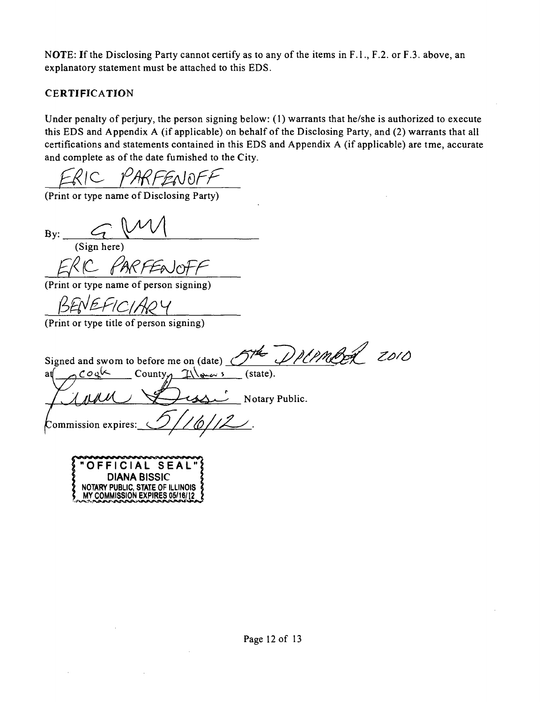NOTE: If the Disclosing Party cannot certify as to any of the items in F.1., F.2. or F.3. above, an explanatory statement must be attached to this EDS.

# **CERTIFICATION**

Under penalty of perjury, the person signing below: (1) warrants that he/she is authorized to execute this EDS and Appendix A (if applicable) on behalf of the Disclosing Party, and (2) warrants that all certifications and statements contained in this EDS and Appendix A (if applicable) are tme, accurate and complete as of the date fumished to the City.

(Print or type name of Disclosing Party)

By: (Sign here)

(Print or type name of person signing)

NEFICI

(Print or type title of person signing)

Signed and swom to before me on (date)  $S^{\#}$   $D$ PLPMBeL ZOIO  $\text{and}$   $\bigcap \text{Coyk}$  County  $\bigcap \downarrow \searrow$  (state). Notary Public. commission expires:

**OFFICIAL SEAL " DIANA BISSIC**  NOTARY PUBLIC. STATE OF ILLINOIS MY COMMISSION EXPIRES 05/16/12